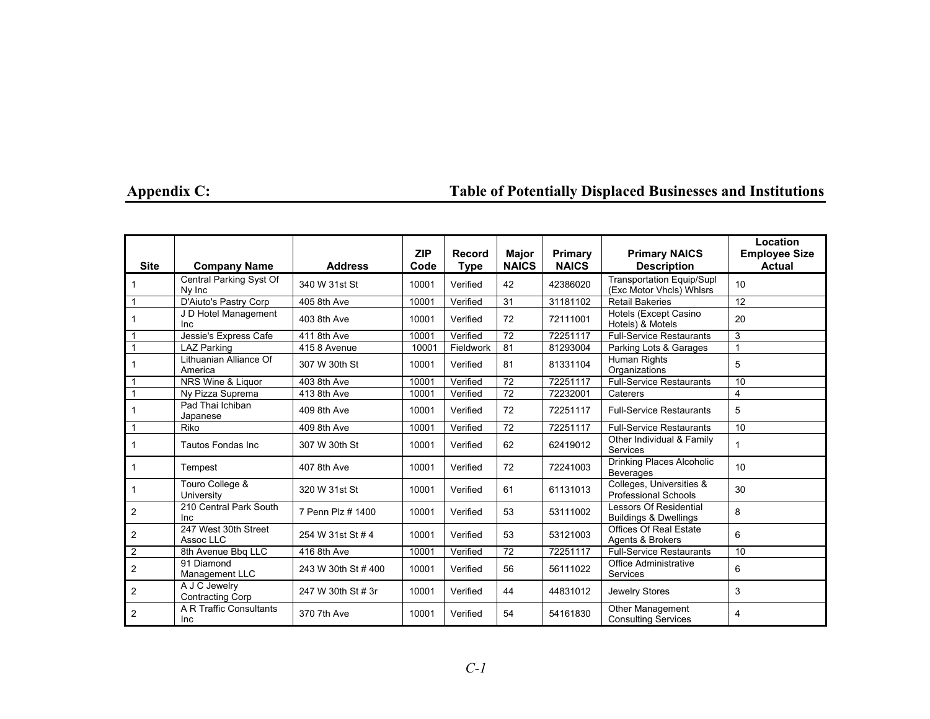| <b>Site</b>    | <b>Company Name</b>                      | <b>Address</b>      | <b>ZIP</b><br>Code | Record<br><b>Type</b> | Major<br><b>NAICS</b> | Primary<br><b>NAICS</b> | <b>Primary NAICS</b><br><b>Description</b>                        | Location<br><b>Employee Size</b><br><b>Actual</b> |
|----------------|------------------------------------------|---------------------|--------------------|-----------------------|-----------------------|-------------------------|-------------------------------------------------------------------|---------------------------------------------------|
|                | Central Parking Syst Of<br>Ny Inc        | 340 W 31st St       | 10001              | Verified              | 42                    | 42386020                | <b>Transportation Equip/Supl</b><br>(Exc Motor Vhcls) Whlsrs      | 10                                                |
| 1              | D'Aiuto's Pastry Corp                    | 405 8th Ave         | 10001              | Verified              | 31                    | 31181102                | <b>Retail Bakeries</b>                                            | 12                                                |
|                | J D Hotel Management<br>Inc              | 403 8th Ave         | 10001              | Verified              | 72                    | 72111001                | Hotels (Except Casino<br>Hotels) & Motels                         | 20                                                |
|                | Jessie's Express Cafe                    | 411 8th Ave         | 10001              | Verified              | 72                    | 72251117                | <b>Full-Service Restaurants</b>                                   | 3                                                 |
| 1              | <b>LAZ Parking</b>                       | 415 8 Avenue        | 10001              | Fieldwork             | 81                    | 81293004                | Parking Lots & Garages                                            |                                                   |
|                | Lithuanian Alliance Of<br>America        | 307 W 30th St       | 10001              | Verified              | 81                    | 81331104                | Human Rights<br>Organizations                                     | 5                                                 |
| 1              | NRS Wine & Liquor                        | 403 8th Ave         | 10001              | Verified              | 72                    | 72251117                | <b>Full-Service Restaurants</b>                                   | 10                                                |
| 1              | Ny Pizza Suprema                         | 413 8th Ave         | 10001              | Verified              | 72                    | 72232001                | Caterers                                                          | 4                                                 |
|                | Pad Thai Ichiban<br>Japanese             | 409 8th Ave         | 10001              | Verified              | 72                    | 72251117                | <b>Full-Service Restaurants</b>                                   | 5                                                 |
| 1              | Riko                                     | 409 8th Ave         | 10001              | Verified              | 72                    | 72251117                | <b>Full-Service Restaurants</b>                                   | 10                                                |
| 1              | Tautos Fondas Inc                        | 307 W 30th St       | 10001              | Verified              | 62                    | 62419012                | Other Individual & Family<br><b>Services</b>                      | 1                                                 |
| 1              | Tempest                                  | 407 8th Ave         | 10001              | Verified              | 72                    | 72241003                | Drinking Places Alcoholic<br><b>Beverages</b>                     | 10                                                |
| 1              | Touro College &<br>University            | 320 W 31st St       | 10001              | Verified              | 61                    | 61131013                | Colleges, Universities &<br>Professional Schools                  | 30                                                |
| 2              | 210 Central Park South<br>Inc            | 7 Penn Plz # 1400   | 10001              | Verified              | 53                    | 53111002                | <b>Lessors Of Residential</b><br><b>Buildings &amp; Dwellings</b> | 8                                                 |
| $\overline{2}$ | 247 West 30th Street<br>Assoc LLC        | 254 W 31st St # 4   | 10001              | Verified              | 53                    | 53121003                | <b>Offices Of Real Estate</b><br>Agents & Brokers                 | 6                                                 |
| $\mathbf{2}$   | 8th Avenue Bbq LLC                       | 416 8th Ave         | 10001              | Verified              | 72                    | 72251117                | <b>Full-Service Restaurants</b>                                   | 10                                                |
| $\overline{2}$ | 91 Diamond<br>Management LLC             | 243 W 30th St # 400 | 10001              | Verified              | 56                    | 56111022                | <b>Office Administrative</b><br><b>Services</b>                   | 6                                                 |
| $\mathbf{2}$   | A J C Jewelry<br><b>Contracting Corp</b> | 247 W 30th St # 3r  | 10001              | Verified              | 44                    | 44831012                | Jewelry Stores                                                    | 3                                                 |
| $\overline{2}$ | A R Traffic Consultants<br>Inc           | 370 7th Ave         | 10001              | Verified              | 54                    | 54161830                | <b>Other Management</b><br><b>Consulting Services</b>             | 4                                                 |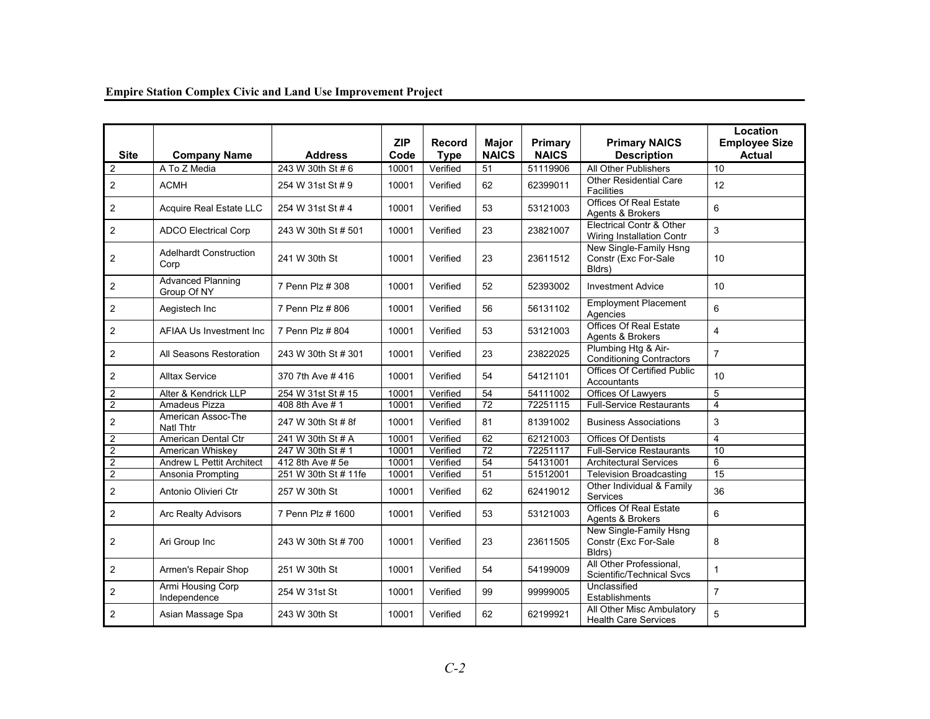| <b>Site</b>             | <b>Company Name</b>                     | <b>Address</b>       | <b>ZIP</b><br>Code | Record<br><b>Type</b> | <b>Major</b><br><b>NAICS</b> | Primary<br><b>NAICS</b> | <b>Primary NAICS</b><br><b>Description</b>               | Location<br><b>Employee Size</b><br><b>Actual</b> |
|-------------------------|-----------------------------------------|----------------------|--------------------|-----------------------|------------------------------|-------------------------|----------------------------------------------------------|---------------------------------------------------|
| 2                       | A To Z Media                            | 243 W 30th St #6     | 10001              | Verified              | $\overline{51}$              | 51119906                | All Other Publishers                                     | $\overline{10}$                                   |
| $\overline{2}$          | <b>ACMH</b>                             | 254 W 31st St # 9    | 10001              | Verified              | 62                           | 62399011                | <b>Other Residential Care</b><br><b>Facilities</b>       | 12                                                |
| $\overline{2}$          | Acquire Real Estate LLC                 | 254 W 31st St # 4    | 10001              | Verified              | 53                           | 53121003                | <b>Offices Of Real Estate</b><br>Agents & Brokers        | 6                                                 |
| $\overline{2}$          | <b>ADCO Electrical Corp</b>             | 243 W 30th St # 501  | 10001              | Verified              | 23                           | 23821007                | Electrical Contr & Other<br>Wiring Installation Contr    | 3                                                 |
| 2                       | <b>Adelhardt Construction</b><br>Corp   | 241 W 30th St        | 10001              | Verified              | 23                           | 23611512                | New Single-Family Hsng<br>Constr (Exc For-Sale<br>Bldrs) | 10                                                |
| $\overline{2}$          | <b>Advanced Planning</b><br>Group Of NY | 7 Penn Plz # 308     | 10001              | Verified              | 52                           | 52393002                | <b>Investment Advice</b>                                 | 10                                                |
| $\overline{2}$          | Aegistech Inc                           | 7 Penn Plz # 806     | 10001              | Verified              | 56                           | 56131102                | <b>Employment Placement</b><br>Agencies                  | 6                                                 |
| $\overline{2}$          | <b>AFIAA Us Investment Inc.</b>         | 7 Penn Plz # 804     | 10001              | Verified              | 53                           | 53121003                | Offices Of Real Estate<br>Agents & Brokers               | $\overline{4}$                                    |
| $\overline{2}$          | All Seasons Restoration                 | 243 W 30th St # 301  | 10001              | Verified              | 23                           | 23822025                | Plumbing Htg & Air-<br><b>Conditioning Contractors</b>   | $\overline{7}$                                    |
| $\overline{c}$          | <b>Alltax Service</b>                   | 370 7th Ave #416     | 10001              | Verified              | 54                           | 54121101                | <b>Offices Of Certified Public</b><br>Accountants        | 10                                                |
| $\overline{\mathbf{c}}$ | Alter & Kendrick LLP                    | 254 W 31st St # 15   | 10001              | Verified              | 54                           | 54111002                | Offices Of Lawyers                                       | 5                                                 |
| $\overline{c}$          | Amadeus Pizza                           | 408 8th Ave # 1      | 10001              | Verified              | 72                           | 72251115                | <b>Full-Service Restaurants</b>                          | 4                                                 |
| $\overline{2}$          | American Assoc-The<br><b>Natl Thtr</b>  | 247 W 30th St # 8f   | 10001              | Verified              | 81                           | 81391002                | <b>Business Associations</b>                             | 3                                                 |
| $\overline{c}$          | American Dental Ctr                     | 241 W 30th St # A    | 10001              | Verified              | 62                           | 62121003                | <b>Offices Of Dentists</b>                               | $\overline{4}$                                    |
| $\overline{2}$          | American Whiskey                        | 247 W 30th St # 1    | 10001              | Verified              | 72                           | 72251117                | <b>Full-Service Restaurants</b>                          | 10                                                |
| $\overline{2}$          | Andrew L Pettit Architect               | 412 8th Ave # 5e     | 10001              | Verified              | 54                           | 54131001                | <b>Architectural Services</b>                            | 6                                                 |
| $\overline{c}$          | Ansonia Prompting                       | 251 W 30th St # 11fe | 10001              | Verified              | 51                           | 51512001                | <b>Television Broadcasting</b>                           | 15                                                |
| $\overline{2}$          | Antonio Olivieri Ctr                    | 257 W 30th St        | 10001              | Verified              | 62                           | 62419012                | Other Individual & Family<br><b>Services</b>             | 36                                                |
| $\overline{2}$          | <b>Arc Realty Advisors</b>              | 7 Penn Plz # 1600    | 10001              | Verified              | 53                           | 53121003                | Offices Of Real Estate<br>Agents & Brokers               | 6                                                 |
| $\overline{2}$          | Ari Group Inc                           | 243 W 30th St # 700  | 10001              | Verified              | 23                           | 23611505                | New Single-Family Hsng<br>Constr (Exc For-Sale<br>Bldrs) | 8                                                 |
| $\overline{2}$          | Armen's Repair Shop                     | 251 W 30th St        | 10001              | Verified              | 54                           | 54199009                | All Other Professional,<br>Scientific/Technical Svcs     | $\mathbf{1}$                                      |
| $\overline{c}$          | Armi Housing Corp<br>Independence       | 254 W 31st St        | 10001              | Verified              | 99                           | 99999005                | Unclassified<br>Establishments                           | $\overline{7}$                                    |
| $\overline{2}$          | Asian Massage Spa                       | 243 W 30th St        | 10001              | Verified              | 62                           | 62199921                | All Other Misc Ambulatory<br><b>Health Care Services</b> | 5                                                 |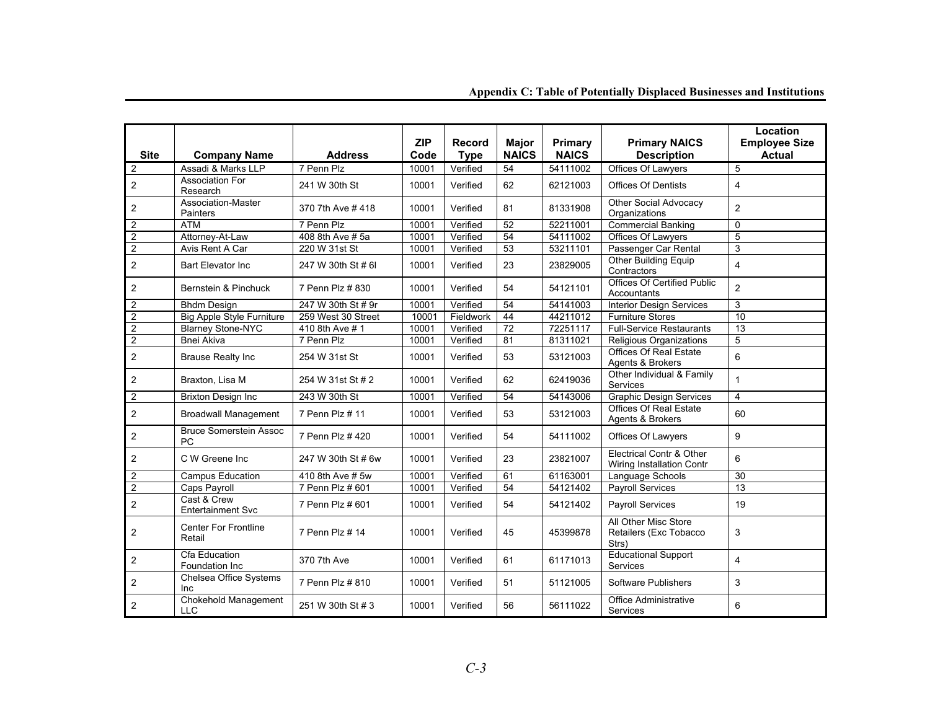| <b>Site</b>             | <b>Company Name</b>                        | <b>Address</b>     | <b>ZIP</b><br>Code | <b>Record</b><br><b>Type</b> | <b>Major</b><br><b>NAICS</b> | Primary<br><b>NAICS</b> | <b>Primary NAICS</b><br><b>Description</b>              | Location<br><b>Employee Size</b><br><b>Actual</b> |
|-------------------------|--------------------------------------------|--------------------|--------------------|------------------------------|------------------------------|-------------------------|---------------------------------------------------------|---------------------------------------------------|
| $\overline{2}$          | Assadi & Marks LLP                         | 7 Penn Plz         | 10001              | Verified                     | $\overline{54}$              | 54111002                | Offices Of Lawyers                                      | 5                                                 |
| $\overline{2}$          | <b>Association For</b><br>Research         | 241 W 30th St      | 10001              | Verified                     | 62                           | 62121003                | <b>Offices Of Dentists</b>                              | $\overline{4}$                                    |
| $\overline{\mathbf{c}}$ | Association-Master<br>Painters             | 370 7th Ave #418   | 10001              | Verified                     | 81                           | 81331908                | Other Social Advocacy<br>Organizations                  | $\overline{2}$                                    |
| $\overline{\mathbf{c}}$ | <b>ATM</b>                                 | 7 Penn Plz         | 10001              | Verified                     | 52                           | 52211001                | <b>Commercial Banking</b>                               | $\Omega$                                          |
| $\overline{2}$          | Attorney-At-Law                            | 408 8th Ave # 5a   | 10001              | Verified                     | 54                           | 54111002                | Offices Of Lawyers                                      | 5                                                 |
| $\overline{c}$          | Avis Rent A Car                            | 220 W 31st St      | 10001              | Verified                     | $\overline{53}$              | 53211101                | Passenger Car Rental                                    | 3                                                 |
| $\overline{2}$          | <b>Bart Elevator Inc</b>                   | 247 W 30th St # 6I | 10001              | Verified                     | 23                           | 23829005                | Other Building Equip<br>Contractors                     | $\overline{4}$                                    |
| $\overline{2}$          | Bernstein & Pinchuck                       | 7 Penn Plz # 830   | 10001              | Verified                     | 54                           | 54121101                | Offices Of Certified Public<br>Accountants              | $\overline{2}$                                    |
| $\overline{2}$          | <b>Bhdm Design</b>                         | 247 W 30th St # 9r | 10001              | Verified                     | 54                           | 54141003                | <b>Interior Design Services</b>                         | 3                                                 |
| $\overline{c}$          | <b>Big Apple Style Furniture</b>           | 259 West 30 Street | 10001              | Fieldwork                    | 44                           | 44211012                | <b>Furniture Stores</b>                                 | 10                                                |
| $\boldsymbol{2}$        | <b>Blarney Stone-NYC</b>                   | 410 8th Ave # 1    | 10001              | Verified                     | $\overline{72}$              | 72251117                | <b>Full-Service Restaurants</b>                         | 13                                                |
| 2                       | <b>Bnei Akiva</b>                          | 7 Penn Plz         | 10001              | Verified                     | 81                           | 81311021                | Religious Organizations                                 | 5                                                 |
| $\overline{2}$          | <b>Brause Realty Inc</b>                   | 254 W 31st St      | 10001              | Verified                     | 53                           | 53121003                | <b>Offices Of Real Estate</b><br>Agents & Brokers       | 6                                                 |
| $\overline{2}$          | Braxton, Lisa M                            | 254 W 31st St # 2  | 10001              | Verified                     | 62                           | 62419036                | Other Individual & Family<br><b>Services</b>            | $\mathbf{1}$                                      |
| $\overline{2}$          | <b>Brixton Design Inc</b>                  | 243 W 30th St      | 10001              | Verified                     | 54                           | 54143006                | <b>Graphic Design Services</b>                          | 4                                                 |
| 2                       | <b>Broadwall Management</b>                | 7 Penn Plz # 11    | 10001              | Verified                     | 53                           | 53121003                | <b>Offices Of Real Estate</b><br>Agents & Brokers       | 60                                                |
| $\boldsymbol{2}$        | <b>Bruce Somerstein Assoc</b><br><b>PC</b> | 7 Penn Plz # 420   | 10001              | Verified                     | 54                           | 54111002                | Offices Of Lawyers                                      | 9                                                 |
| $\overline{2}$          | C W Greene Inc.                            | 247 W 30th St # 6w | 10001              | Verified                     | 23                           | 23821007                | Electrical Contr & Other<br>Wiring Installation Contr   | 6                                                 |
| $\overline{\mathbf{c}}$ | <b>Campus Education</b>                    | 410 8th Ave # 5w   | 10001              | Verified                     | 61                           | 61163001                | Language Schools                                        | 30                                                |
| $\overline{2}$          | Caps Payroll                               | 7 Penn Plz # 601   | 10001              | Verified                     | 54                           | 54121402                | <b>Payroll Services</b>                                 | 13                                                |
| $\overline{2}$          | Cast & Crew<br><b>Entertainment Svc</b>    | 7 Penn Plz # 601   | 10001              | Verified                     | 54                           | 54121402                | Payroll Services                                        | 19                                                |
| 2                       | <b>Center For Frontline</b><br>Retail      | 7 Penn Plz # 14    | 10001              | Verified                     | 45                           | 45399878                | All Other Misc Store<br>Retailers (Exc Tobacco<br>Strs) | 3                                                 |
| $\overline{\mathbf{c}}$ | Cfa Education<br>Foundation Inc            | 370 7th Ave        | 10001              | Verified                     | 61                           | 61171013                | <b>Educational Support</b><br>Services                  | $\overline{4}$                                    |
| $\overline{2}$          | Chelsea Office Systems<br>Inc              | 7 Penn Plz # 810   | 10001              | Verified                     | 51                           | 51121005                | Software Publishers                                     | 3                                                 |
| $\overline{2}$          | Chokehold Management<br><b>LLC</b>         | 251 W 30th St # 3  | 10001              | Verified                     | 56                           | 56111022                | <b>Office Administrative</b><br><b>Services</b>         | 6                                                 |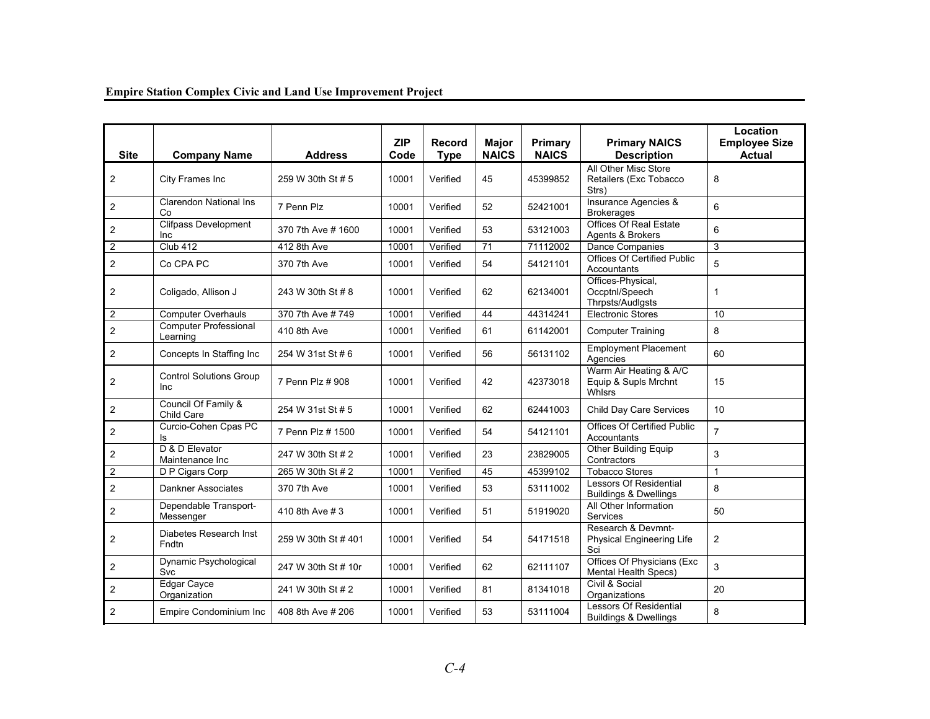| <b>Site</b>             | <b>Company Name</b>                          | <b>Address</b>      | <b>ZIP</b><br>Code | <b>Record</b><br><b>Type</b> | <b>Major</b><br><b>NAICS</b> | Primary<br><b>NAICS</b> | <b>Primary NAICS</b><br><b>Description</b>                      | Location<br><b>Employee Size</b><br><b>Actual</b> |
|-------------------------|----------------------------------------------|---------------------|--------------------|------------------------------|------------------------------|-------------------------|-----------------------------------------------------------------|---------------------------------------------------|
| 2                       | City Frames Inc                              | 259 W 30th St # 5   | 10001              | Verified                     | 45                           | 45399852                | All Other Misc Store<br>Retailers (Exc Tobacco<br>Strs)         | 8                                                 |
| $\overline{2}$          | <b>Clarendon National Ins</b><br>Co          | 7 Penn Plz          | 10001              | Verified                     | 52                           | 52421001                | Insurance Agencies &<br><b>Brokerages</b>                       | 6                                                 |
| $\overline{2}$          | <b>Clifpass Development</b><br><b>Inc</b>    | 370 7th Ave # 1600  | 10001              | Verified                     | 53                           | 53121003                | Offices Of Real Estate<br>Agents & Brokers                      | 6                                                 |
| $\overline{2}$          | Club 412                                     | 412 8th Ave         | 10001              | Verified                     | 71                           | 71112002                | <b>Dance Companies</b>                                          | 3                                                 |
| $\overline{2}$          | Co CPA PC                                    | 370 7th Ave         | 10001              | Verified                     | 54                           | 54121101                | Offices Of Certified Public<br>Accountants                      | 5                                                 |
| $\overline{2}$          | Coligado, Allison J                          | 243 W 30th St # 8   | 10001              | Verified                     | 62                           | 62134001                | Offices-Physical,<br>Occptnl/Speech<br>Thrpsts/Audigsts         | $\mathbf{1}$                                      |
| $\mathbf{2}$            | <b>Computer Overhauls</b>                    | 370 7th Ave # 749   | 10001              | Verified                     | 44                           | 44314241                | <b>Electronic Stores</b>                                        | 10                                                |
| $\overline{2}$          | <b>Computer Professional</b><br>Learning     | 410 8th Ave         | 10001              | Verified                     | 61                           | 61142001                | <b>Computer Training</b>                                        | 8                                                 |
| $\overline{2}$          | Concepts In Staffing Inc                     | 254 W 31st St # 6   | 10001              | Verified                     | 56                           | 56131102                | <b>Employment Placement</b><br>Agencies                         | 60                                                |
| 2                       | <b>Control Solutions Group</b><br><b>Inc</b> | 7 Penn Plz # 908    | 10001              | Verified                     | 42                           | 42373018                | Warm Air Heating & A/C<br>Equip & Supls Mrchnt<br><b>Whlsrs</b> | 15                                                |
| $\overline{2}$          | Council Of Family &<br>Child Care            | 254 W 31st St # 5   | 10001              | Verified                     | 62                           | 62441003                | Child Day Care Services                                         | 10                                                |
| $\overline{2}$          | Curcio-Cohen Cpas PC<br>ls                   | 7 Penn Plz # 1500   | 10001              | Verified                     | 54                           | 54121101                | <b>Offices Of Certified Public</b><br>Accountants               | $\overline{7}$                                    |
| $\boldsymbol{2}$        | D & D Elevator<br>Maintenance Inc            | 247 W 30th St # 2   | 10001              | Verified                     | 23                           | 23829005                | Other Building Equip<br>Contractors                             | 3                                                 |
| $\overline{2}$          | D P Cigars Corp                              | 265 W 30th St # 2   | 10001              | Verified                     | 45                           | 45399102                | <b>Tobacco Stores</b>                                           | $\mathbf{1}$                                      |
| $\overline{2}$          | Dankner Associates                           | 370 7th Ave         | 10001              | Verified                     | 53                           | 53111002                | Lessors Of Residential<br><b>Buildings &amp; Dwellings</b>      | 8                                                 |
| $\overline{\mathbf{c}}$ | Dependable Transport-<br>Messenger           | 410 8th Ave # 3     | 10001              | Verified                     | 51                           | 51919020                | All Other Information<br><b>Services</b>                        | 50                                                |
| $\overline{2}$          | Diabetes Research Inst<br>Fndtn              | 259 W 30th St # 401 | 10001              | Verified                     | 54                           | 54171518                | Research & Devmnt-<br><b>Physical Engineering Life</b><br>Sci   | $\overline{2}$                                    |
| $\overline{2}$          | Dynamic Psychological<br>Svc                 | 247 W 30th St # 10r | 10001              | Verified                     | 62                           | 62111107                | Offices Of Physicians (Exc<br><b>Mental Health Specs)</b>       | 3                                                 |
| 2                       | Edgar Cayce<br>Organization                  | 241 W 30th St # 2   | 10001              | Verified                     | 81                           | 81341018                | Civil & Social<br>Organizations                                 | 20                                                |
| $\overline{2}$          | Empire Condominium Inc                       | 408 8th Ave # 206   | 10001              | Verified                     | 53                           | 53111004                | Lessors Of Residential<br><b>Buildings &amp; Dwellings</b>      | 8                                                 |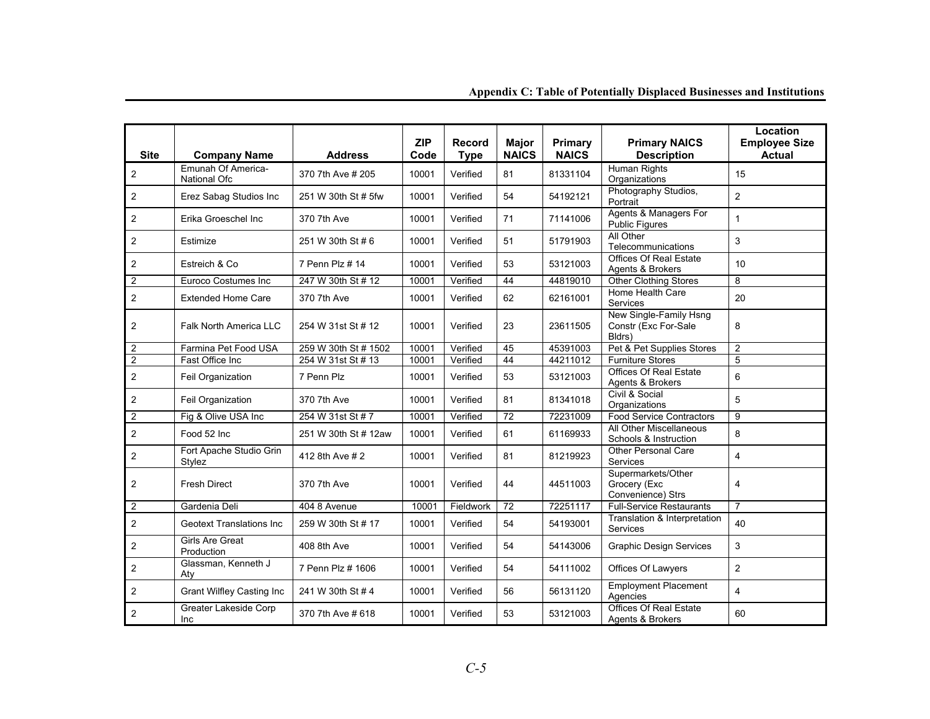| <b>Site</b>    | <b>Company Name</b>                       | <b>Address</b>       | <b>ZIP</b><br>Code | <b>Record</b><br><b>Type</b> | <b>Major</b><br><b>NAICS</b> | Primary<br><b>NAICS</b> | <b>Primary NAICS</b><br><b>Description</b>               | Location<br><b>Employee Size</b><br><b>Actual</b> |
|----------------|-------------------------------------------|----------------------|--------------------|------------------------------|------------------------------|-------------------------|----------------------------------------------------------|---------------------------------------------------|
| $\overline{2}$ | Emunah Of America-<br><b>National Ofc</b> | 370 7th Ave # 205    | 10001              | Verified                     | 81                           | 81331104                | <b>Human Rights</b><br>Organizations                     | 15                                                |
| $\overline{2}$ | Erez Sabag Studios Inc                    | 251 W 30th St # 5fw  | 10001              | Verified                     | 54                           | 54192121                | Photography Studios,<br>Portrait                         | $\overline{2}$                                    |
| $\overline{2}$ | Erika Groeschel Inc                       | 370 7th Ave          | 10001              | Verified                     | 71                           | 71141006                | Agents & Managers For<br><b>Public Figures</b>           | $\mathbf{1}$                                      |
| $\overline{2}$ | Estimize                                  | 251 W 30th St #6     | 10001              | Verified                     | 51                           | 51791903                | All Other<br>Telecommunications                          | $\mathbf{3}$                                      |
| $\overline{2}$ | Estreich & Co                             | 7 Penn Plz # 14      | 10001              | Verified                     | 53                           | 53121003                | <b>Offices Of Real Estate</b><br>Agents & Brokers        | 10                                                |
| $\overline{2}$ | <b>Euroco Costumes Inc</b>                | 247 W 30th St # 12   | 10001              | Verified                     | 44                           | 44819010                | <b>Other Clothing Stores</b>                             | 8                                                 |
| $\overline{2}$ | <b>Extended Home Care</b>                 | 370 7th Ave          | 10001              | Verified                     | 62                           | 62161001                | Home Health Care<br>Services                             | 20                                                |
| $\overline{2}$ | Falk North America LLC                    | 254 W 31st St # 12   | 10001              | Verified                     | 23                           | 23611505                | New Single-Family Hsng<br>Constr (Exc For-Sale<br>Bldrs) | 8                                                 |
| $\overline{2}$ | Farmina Pet Food USA                      | 259 W 30th St # 1502 | 10001              | Verified                     | 45                           | 45391003                | Pet & Pet Supplies Stores                                | $\overline{2}$                                    |
| $\overline{2}$ | Fast Office Inc                           | 254 W 31st St # 13   | 10001              | Verified                     | 44                           | 44211012                | <b>Furniture Stores</b>                                  | 5                                                 |
| $\overline{2}$ | Feil Organization                         | 7 Penn Plz           | 10001              | Verified                     | 53                           | 53121003                | <b>Offices Of Real Estate</b><br>Agents & Brokers        | 6                                                 |
| $\overline{2}$ | Feil Organization                         | 370 7th Ave          | 10001              | Verified                     | 81                           | 81341018                | Civil & Social<br>Organizations                          | 5                                                 |
| $\overline{2}$ | Fig & Olive USA Inc                       | 254 W 31st St # 7    | 10001              | Verified                     | 72                           | 72231009                | <b>Food Service Contractors</b>                          | 9                                                 |
| $\overline{2}$ | Food 52 Inc                               | 251 W 30th St # 12aw | 10001              | Verified                     | 61                           | 61169933                | All Other Miscellaneous<br>Schools & Instruction         | 8                                                 |
| $\overline{2}$ | Fort Apache Studio Grin<br>Stylez         | 412 8th Ave # 2      | 10001              | Verified                     | 81                           | 81219923                | <b>Other Personal Care</b><br>Services                   | $\overline{4}$                                    |
| $\overline{2}$ | <b>Fresh Direct</b>                       | 370 7th Ave          | 10001              | Verified                     | 44                           | 44511003                | Supermarkets/Other<br>Grocery (Exc<br>Convenience) Strs  | $\overline{4}$                                    |
| $\overline{2}$ | Gardenia Deli                             | 404 8 Avenue         | 10001              | Fieldwork                    | 72                           | 72251117                | <b>Full-Service Restaurants</b>                          | $\overline{7}$                                    |
| $\overline{2}$ | <b>Geotext Translations Inc.</b>          | 259 W 30th St # 17   | 10001              | Verified                     | 54                           | 54193001                | Translation & Interpretation<br><b>Services</b>          | 40                                                |
| $\overline{2}$ | <b>Girls Are Great</b><br>Production      | 408 8th Ave          | 10001              | Verified                     | 54                           | 54143006                | <b>Graphic Design Services</b>                           | $\mathbf{3}$                                      |
| $\overline{c}$ | Glassman, Kenneth J<br>Aty                | 7 Penn Plz # 1606    | 10001              | Verified                     | 54                           | 54111002                | Offices Of Lawyers                                       | $\overline{2}$                                    |
| $\overline{2}$ | <b>Grant Wilfley Casting Inc</b>          | 241 W 30th St #4     | 10001              | Verified                     | 56                           | 56131120                | <b>Employment Placement</b><br>Agencies                  | $\overline{\mathbf{4}}$                           |
| 2              | Greater Lakeside Corp<br>Inc              | 370 7th Ave # 618    | 10001              | Verified                     | 53                           | 53121003                | <b>Offices Of Real Estate</b><br>Agents & Brokers        | 60                                                |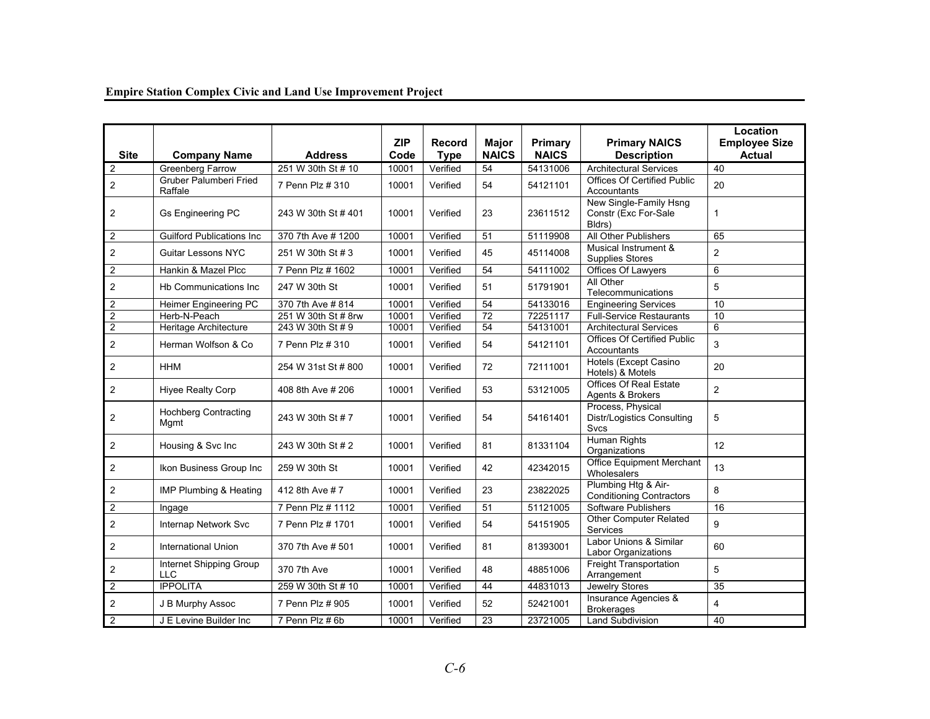|  | <b>Empire Station Complex Civic and Land Use Improvement Project</b> |
|--|----------------------------------------------------------------------|

| <b>Site</b>      | <b>Company Name</b>                      | <b>Address</b>      | <b>ZIP</b><br>Code | <b>Record</b><br><b>Type</b> | <b>Major</b><br><b>NAICS</b> | Primary<br><b>NAICS</b> | <b>Primary NAICS</b><br><b>Description</b>                     | Location<br><b>Employee Size</b><br><b>Actual</b> |
|------------------|------------------------------------------|---------------------|--------------------|------------------------------|------------------------------|-------------------------|----------------------------------------------------------------|---------------------------------------------------|
| $\overline{2}$   | <b>Greenberg Farrow</b>                  | 251 W 30th St # 10  | 10001              | Verified                     | 54                           | 54131006                | <b>Architectural Services</b>                                  | 40                                                |
| 2                | <b>Gruber Palumberi Fried</b><br>Raffale | 7 Penn Plz # 310    | 10001              | Verified                     | 54                           | 54121101                | Offices Of Certified Public<br>Accountants                     | 20                                                |
| 2                | Gs Engineering PC                        | 243 W 30th St #401  | 10001              | Verified                     | 23                           | 23611512                | New Single-Family Hsng<br>Constr (Exc For-Sale<br>Bldrs)       | $\mathbf 1$                                       |
| 2                | <b>Guilford Publications Inc.</b>        | 370 7th Ave # 1200  | 10001              | Verified                     | 51                           | 51119908                | All Other Publishers                                           | 65                                                |
| 2                | <b>Guitar Lessons NYC</b>                | 251 W 30th St # 3   | 10001              | Verified                     | 45                           | 45114008                | Musical Instrument &<br><b>Supplies Stores</b>                 | $\overline{2}$                                    |
| $\overline{2}$   | Hankin & Mazel Plcc                      | 7 Penn Plz # 1602   | 10001              | Verified                     | 54                           | 54111002                | Offices Of Lawyers                                             | 6                                                 |
| 2                | Hb Communications Inc.                   | 247 W 30th St       | 10001              | Verified                     | 51                           | 51791901                | All Other<br>Telecommunications                                | 5                                                 |
| $\overline{2}$   | Heimer Engineering PC                    | 370 7th Ave # 814   | 10001              | Verified                     | 54                           | 54133016                | <b>Engineering Services</b>                                    | 10                                                |
| $\overline{2}$   | Herb-N-Peach                             | 251 W 30th St # 8rw | 10001              | Verified                     | 72                           | 72251117                | <b>Full-Service Restaurants</b>                                | 10                                                |
| $\overline{2}$   | Heritage Architecture                    | 243 W 30th St # 9   | 10001              | Verified                     | 54                           | 54131001                | <b>Architectural Services</b>                                  | 6                                                 |
| $\overline{c}$   | Herman Wolfson & Co                      | 7 Penn Plz # 310    | 10001              | Verified                     | 54                           | 54121101                | <b>Offices Of Certified Public</b><br>Accountants              | 3                                                 |
| 2                | <b>HHM</b>                               | 254 W 31st St # 800 | 10001              | Verified                     | 72                           | 72111001                | Hotels (Except Casino<br>Hotels) & Motels                      | 20                                                |
| 2                | Hiyee Realty Corp                        | 408 8th Ave # 206   | 10001              | Verified                     | 53                           | 53121005                | <b>Offices Of Real Estate</b><br>Agents & Brokers              | $\overline{2}$                                    |
| $\overline{2}$   | <b>Hochberg Contracting</b><br>Mgmt      | 243 W 30th St # 7   | 10001              | Verified                     | 54                           | 54161401                | Process, Physical<br><b>Distr/Logistics Consulting</b><br>Svcs | 5                                                 |
| 2                | Housing & Svc Inc                        | 243 W 30th St # 2   | 10001              | Verified                     | 81                           | 81331104                | Human Rights<br>Organizations                                  | 12                                                |
| $\overline{2}$   | Ikon Business Group Inc                  | 259 W 30th St       | 10001              | Verified                     | 42                           | 42342015                | <b>Office Equipment Merchant</b><br>Wholesalers                | 13                                                |
| 2                | IMP Plumbing & Heating                   | 412 8th Ave #7      | 10001              | Verified                     | 23                           | 23822025                | Plumbing Htg & Air-<br><b>Conditioning Contractors</b>         | 8                                                 |
| 2                | Ingage                                   | 7 Penn Plz # 1112   | 10001              | Verified                     | 51                           | 51121005                | <b>Software Publishers</b>                                     | 16                                                |
| 2                | Internap Network Svc                     | 7 Penn Plz # 1701   | 10001              | Verified                     | 54                           | 54151905                | <b>Other Computer Related</b><br>Services                      | 9                                                 |
| $\overline{2}$   | <b>International Union</b>               | 370 7th Ave # 501   | 10001              | Verified                     | 81                           | 81393001                | Labor Unions & Similar<br><b>Labor Organizations</b>           | 60                                                |
| $\overline{c}$   | Internet Shipping Group<br><b>LLC</b>    | 370 7th Ave         | 10001              | Verified                     | 48                           | 48851006                | Freight Transportation<br>Arrangement                          | 5                                                 |
| $\boldsymbol{2}$ | <b>IPPOLITA</b>                          | 259 W 30th St # 10  | 10001              | Verified                     | 44                           | 44831013                | Jewelry Stores                                                 | 35                                                |
| $\overline{2}$   | J B Murphy Assoc                         | 7 Penn Plz # 905    | 10001              | Verified                     | 52                           | 52421001                | Insurance Agencies &<br><b>Brokerages</b>                      | 4                                                 |
| $\overline{2}$   | J E Levine Builder Inc                   | 7 Penn Plz # 6b     | 10001              | Verified                     | 23                           | 23721005                | <b>Land Subdivision</b>                                        | 40                                                |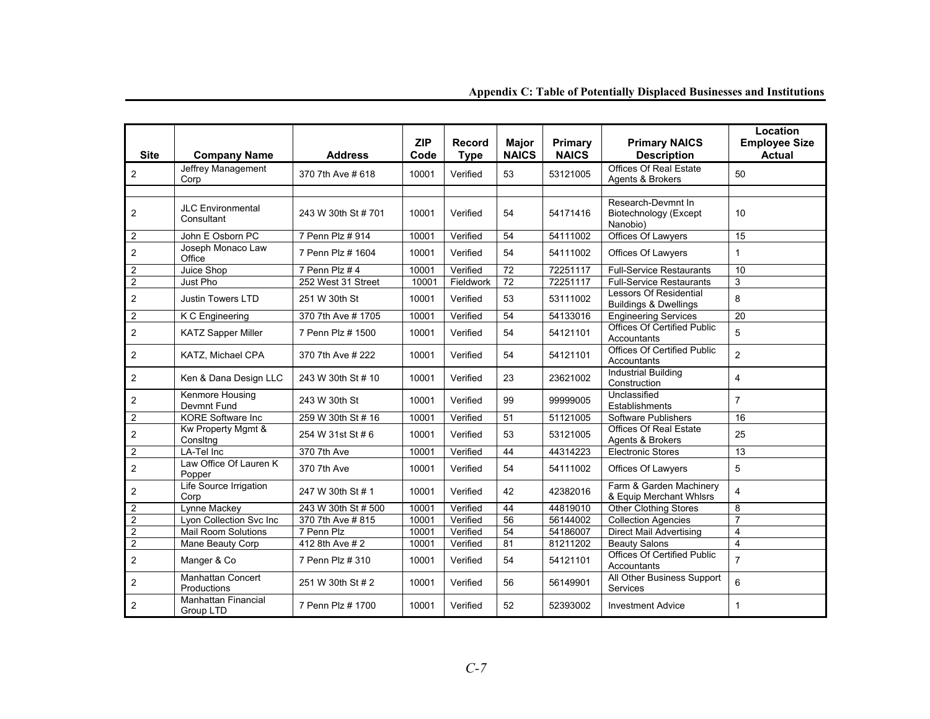#### **Site Company Name Address**<br>Jeffrey Management 270.7th Ave # 64 **ZIP Code Record Type Major NAICS Primary NAICS Primary NAICS Description Location Employee Size Actual** 2 Jeffrey Management 370 7th Ave # 618 10001 Verified 53 53121005 Offices Of Real Estate 50<br>Corp Corp 370 7th Ave # 618 10001 Verified 53 53121005 Agents & Brokers JLC Environmental 243 W 30th St # 701 10001 Verified 54 54171416 Research-Devmnt In Biotechnology (Except 10<br>Consultant Consultant 2 | John E Osborn PC | 7 Penn Plz # 914 | 10001 | Verified | 54 | 54111002 | Offices Of Lawyers | 15 <sup>2</sup>Joseph Monaco Law Office 7 Penn Plz # 1604 10001 Verified 54 54111002 Offices Of Lawyers 1 2 Juice Shop 7 Penn Plz # 4 10001 Verified 72 72251117 Full-Service Restaurants 10 2 Just Pho 252 West 31 Street 10001 Fieldwork 72 72251117 Full-Service Restaurants 3 2 Justin Towers LTD 251 W 30th St 10001 Verified 53 53111002 Lessors Of Residential 8 2 K C Engineering 370 7th Ave # 1705 10001 Verified 54 54133016 Engineering Services 20 2 KATZ Sapper Miller  $\begin{array}{|c|c|c|c|c|}\hline\end{array}$  7 Penn Plz # 1500  $\begin{array}{|c|c|c|c|}\hline\end{array}$  10001  $\begin{array}{|c|c|c|}\hline\end{array}$  54  $\begin{array}{|c|c|c|}\hline\end{array}$  54121101  $\begin{array}{|c|c|c|}\hline\end{array}$  Accountants  $\begin{array}{|c|c|c|}\hline\end{array}$  5 2 KATZ, Michael CPA  $\begin{array}{|c|c|c|c|c|c|}\n\end{array}$  370 7th Ave # 222  $\begin{array}{|c|c|c|c|}\n\end{array}$  Verified  $\begin{array}{|c|c|c|c|}\n\end{array}$  54121101  $\begin{array}{|c|c|c|}\n\end{array}$  Accountants  $\begin{array}{|c|c|c|}\n\end{array}$  2 2 Ken & Dana Design LLC 243 W 30th St # 10 10001 Verified 23 23621002 Industrial Building Construction 4 2 Renmore Housing 243 W 30th St 10001 Verified 99 99999005 Unclassified 7<br>Devmnt Fund 243 W 30th St 10001 Verified 99 99999005 Establishments 2 KORE Software Inc 259 W 30th St # 16 10001 Verified 51 51121005 Software Publishers 16 2 Kw Property Mgmt & 254 W 31st St # 6 10001 Verified 53 53121005 Offices Of Real Estate 25<br>Consitng Consters 25 2 | LA-Tel Inc | 370 7th Ave | 10001 | Verified | 44 | 44314223 | Electronic Stores  $13$ 2 Law Office Of Lauren K 370 7th Ave 10001 Verified 54 54111002 Offices Of Lawyers 5 2 Life Source Irrigation 247 W 30th St # 1  $\bigg| 10001 \bigg|$  Verified  $\bigg| 42 \bigg| 42382016 \bigg| 8$  Equip Merchant Whlsrs  $\bigg| 4$ 2 Lynne Mackey 243 W 30th St # 500 10001 Verified 44 44819010 Other Clothing Stores 8<br>2 Lyon Collection Svc Inc 370 7th Ave # 815 10001 Verified 56 56144002 Collection Agencies 7 2 Lyon Collection Svc Inc 370 7th Ave # 815 10001 Verified 56 56144002 Collection Agencies<br>2 Mail Room Solutions 7 Penn Plz 10001 Verified 54 54186007 Direct Mail Advertisin

#### **Appendix C: Table of Potentially Displaced Businesses and Institutions**

Mail Room Solutions 7 Penn Plz 10001 Verified 54 54186007 Direct Mail Advertising 4

2 Mane Beauty Corp 412 8th Ave # 2 10001 Verified 81 81211202 Beauty Salons 4<br>2 11 22 Mane Beauty Corp 412 8th Ave # 2 10001 Verified 81 81211202 Beauty Salons 4 2 Manger & Co 7 Penn Plz # 310  $\Big| 10001 \Big|$  Verified  $\Big| 54 \Big| 54121101 \Big|$  Accountants  $\Big| 7 \Big|$ 2 Manhattan Concert 251 W 30th St # 2 10001 Verified 56 56149901 All Other Business Support 6<br>Productions 2 Manhattan Financial 7 Penn Plz # 1700 10001 Verified 52 52393002 Investment Advice 1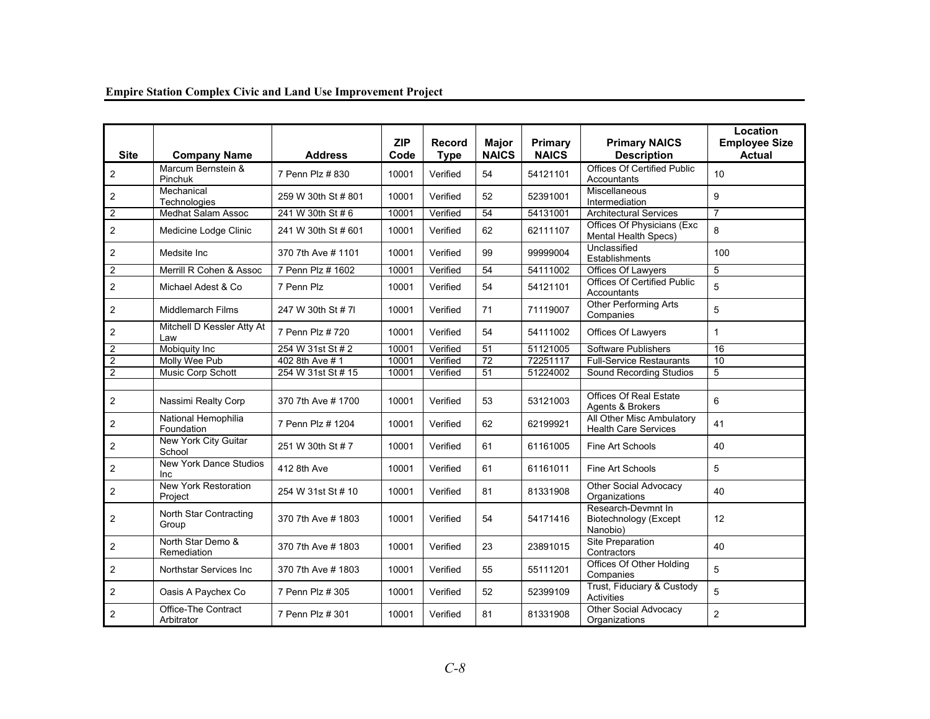| <b>Site</b>             | <b>Company Name</b>                         | <b>Address</b>      | <b>ZIP</b><br>Code | <b>Record</b><br><b>Type</b> | Major<br><b>NAICS</b> | Primary<br><b>NAICS</b> | <b>Primary NAICS</b><br><b>Description</b>                     | Location<br><b>Employee Size</b><br><b>Actual</b> |
|-------------------------|---------------------------------------------|---------------------|--------------------|------------------------------|-----------------------|-------------------------|----------------------------------------------------------------|---------------------------------------------------|
| $\overline{2}$          | Marcum Bernstein &<br>Pinchuk               | 7 Penn Plz # 830    | 10001              | Verified                     | 54                    | 54121101                | <b>Offices Of Certified Public</b><br>Accountants              | 10                                                |
| 2                       | Mechanical<br>Technologies                  | 259 W 30th St # 801 | 10001              | Verified                     | 52                    | 52391001                | Miscellaneous<br>Intermediation                                | 9                                                 |
| $\overline{c}$          | <b>Medhat Salam Assoc</b>                   | 241 W 30th St # 6   | 10001              | Verified                     | 54                    | 54131001                | <b>Architectural Services</b>                                  | $\overline{7}$                                    |
| $\overline{c}$          | Medicine Lodge Clinic                       | 241 W 30th St # 601 | 10001              | Verified                     | 62                    | 62111107                | Offices Of Physicians (Exc<br>Mental Health Specs)             | 8                                                 |
| $\overline{2}$          | Medsite Inc.                                | 370 7th Ave # 1101  | 10001              | Verified                     | 99                    | 99999004                | Unclassified<br>Establishments                                 | 100                                               |
| $\overline{2}$          | Merrill R Cohen & Assoc                     | 7 Penn Plz # 1602   | 10001              | Verified                     | 54                    | 54111002                | Offices Of Lawyers                                             | 5                                                 |
| $\overline{2}$          | Michael Adest & Co                          | 7 Penn Plz          | 10001              | Verified                     | 54                    | 54121101                | <b>Offices Of Certified Public</b><br>Accountants              | 5                                                 |
| $\overline{2}$          | <b>Middlemarch Films</b>                    | 247 W 30th St # 7I  | 10001              | Verified                     | 71                    | 71119007                | Other Performing Arts<br>Companies                             | 5                                                 |
| $\overline{2}$          | Mitchell D Kessler Atty At<br>Law           | 7 Penn Plz # 720    | 10001              | Verified                     | 54                    | 54111002                | Offices Of Lawyers                                             | $\mathbf{1}$                                      |
| $\overline{2}$          | <b>Mobiquity Inc</b>                        | 254 W 31st St # 2   | 10001              | Verified                     | 51                    | 51121005                | Software Publishers                                            | $\overline{16}$                                   |
| $\overline{2}$          | Molly Wee Pub                               | 402 8th Ave # 1     | 10001              | Verified                     | 72                    | 72251117                | <b>Full-Service Restaurants</b>                                | 10                                                |
| $\overline{2}$          | Music Corp Schott                           | 254 W 31st St # 15  | 10001              | Verified                     | 51                    | 51224002                | Sound Recording Studios                                        | 5                                                 |
|                         |                                             |                     |                    |                              |                       |                         |                                                                |                                                   |
| $\overline{c}$          | Nassimi Realty Corp                         | 370 7th Ave # 1700  | 10001              | Verified                     | 53                    | 53121003                | Offices Of Real Estate<br>Agents & Brokers                     | 6                                                 |
| $\overline{2}$          | National Hemophilia<br>Foundation           | 7 Penn Plz # 1204   | 10001              | Verified                     | 62                    | 62199921                | All Other Misc Ambulatory<br><b>Health Care Services</b>       | 41                                                |
| $\overline{2}$          | New York City Guitar<br>School              | 251 W 30th St # 7   | 10001              | Verified                     | 61                    | 61161005                | Fine Art Schools                                               | 40                                                |
| $\overline{\mathbf{c}}$ | <b>New York Dance Studios</b><br><b>Inc</b> | 412 8th Ave         | 10001              | Verified                     | 61                    | 61161011                | Fine Art Schools                                               | 5                                                 |
| $\overline{2}$          | New York Restoration<br>Project             | 254 W 31st St # 10  | 10001              | Verified                     | 81                    | 81331908                | Other Social Advocacy<br>Organizations                         | 40                                                |
| $\overline{\mathbf{c}}$ | North Star Contracting<br>Group             | 370 7th Ave # 1803  | 10001              | Verified                     | 54                    | 54171416                | Research-Devmnt In<br><b>Biotechnology</b> (Except<br>Nanobio) | 12                                                |
| $\mathbf{2}$            | North Star Demo &<br>Remediation            | 370 7th Ave # 1803  | 10001              | Verified                     | 23                    | 23891015                | <b>Site Preparation</b><br>Contractors                         | 40                                                |
| $\overline{2}$          | Northstar Services Inc                      | 370 7th Ave # 1803  | 10001              | Verified                     | 55                    | 55111201                | Offices Of Other Holding<br>Companies                          | 5                                                 |
| $\overline{2}$          | Oasis A Paychex Co                          | 7 Penn Plz # 305    | 10001              | Verified                     | 52                    | 52399109                | Trust, Fiduciary & Custody<br><b>Activities</b>                | 5                                                 |
| $\boldsymbol{2}$        | Office-The Contract<br>Arbitrator           | 7 Penn Plz # 301    | 10001              | Verified                     | 81                    | 81331908                | <b>Other Social Advocacy</b><br>Organizations                  | $\overline{2}$                                    |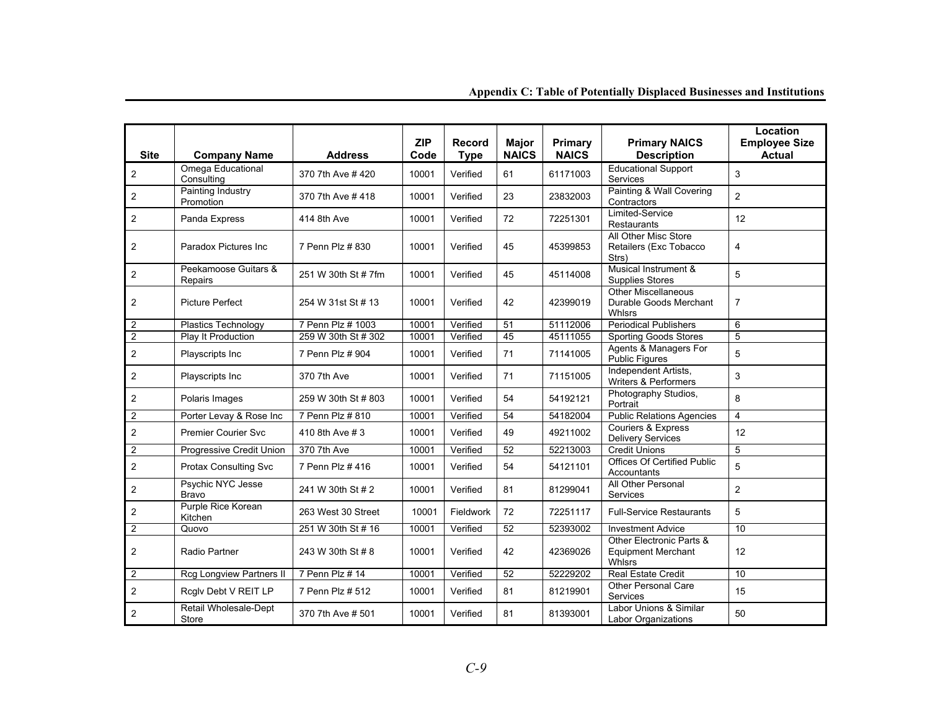| <b>Site</b>             | <b>Company Name</b>                   | <b>Address</b>      | <b>ZIP</b><br>Code | <b>Record</b><br><b>Type</b> | Major<br><b>NAICS</b> | Primary<br><b>NAICS</b> | <b>Primary NAICS</b><br><b>Description</b>                             | Location<br><b>Employee Size</b><br><b>Actual</b> |
|-------------------------|---------------------------------------|---------------------|--------------------|------------------------------|-----------------------|-------------------------|------------------------------------------------------------------------|---------------------------------------------------|
| 2                       | Omega Educational<br>Consulting       | 370 7th Ave #420    | 10001              | Verified                     | 61                    | 61171003                | <b>Educational Support</b><br><b>Services</b>                          | 3                                                 |
| 2                       | <b>Painting Industry</b><br>Promotion | 370 7th Ave #418    | 10001              | Verified                     | 23                    | 23832003                | Painting & Wall Covering<br>Contractors                                | $\overline{2}$                                    |
| 2                       | Panda Express                         | 414 8th Ave         | 10001              | Verified                     | 72                    | 72251301                | Limited-Service<br><b>Restaurants</b>                                  | 12                                                |
| 2                       | Paradox Pictures Inc                  | 7 Penn Plz # 830    | 10001              | Verified                     | 45                    | 45399853                | All Other Misc Store<br>Retailers (Exc Tobacco<br>Strs)                | 4                                                 |
| $\overline{c}$          | Peekamoose Guitars &<br>Repairs       | 251 W 30th St # 7fm | 10001              | Verified                     | 45                    | 45114008                | Musical Instrument &<br><b>Supplies Stores</b>                         | 5                                                 |
| 2                       | <b>Picture Perfect</b>                | 254 W 31st St # 13  | 10001              | Verified                     | 42                    | 42399019                | Other Miscellaneous<br>Durable Goods Merchant<br><b>Whlsrs</b>         | $\overline{7}$                                    |
| $\overline{2}$          | Plastics Technology                   | 7 Penn Plz # 1003   | 10001              | Verified                     | 51                    | 51112006                | <b>Periodical Publishers</b>                                           | 6                                                 |
| $\overline{2}$          | Play It Production                    | 259 W 30th St # 302 | 10001              | Verified                     | 45                    | 45111055                | <b>Sporting Goods Stores</b>                                           | 5                                                 |
| 2                       | Playscripts Inc                       | 7 Penn Plz # 904    | 10001              | Verified                     | 71                    | 71141005                | Agents & Managers For<br>Public Figures                                | 5                                                 |
| $\mathbf{2}$            | Playscripts Inc                       | 370 7th Ave         | 10001              | Verified                     | 71                    | 71151005                | Independent Artists,<br>Writers & Performers                           | 3                                                 |
| $\mathbf{2}$            | Polaris Images                        | 259 W 30th St # 803 | 10001              | Verified                     | 54                    | 54192121                | Photography Studios,<br>Portrait                                       | 8                                                 |
| $\overline{c}$          | Porter Levay & Rose Inc               | 7 Penn Plz # 810    | 10001              | Verified                     | 54                    | 54182004                | <b>Public Relations Agencies</b>                                       | $\overline{4}$                                    |
| $\overline{2}$          | <b>Premier Courier Svc</b>            | 410 8th Ave # 3     | 10001              | Verified                     | 49                    | 49211002                | Couriers & Express<br><b>Delivery Services</b>                         | 12                                                |
| $\overline{2}$          | Progressive Credit Union              | 370 7th Ave         | 10001              | Verified                     | 52                    | 52213003                | <b>Credit Unions</b>                                                   | 5                                                 |
| $\overline{2}$          | <b>Protax Consulting Svc</b>          | 7 Penn Plz # 416    | 10001              | Verified                     | 54                    | 54121101                | <b>Offices Of Certified Public</b><br>Accountants                      | 5                                                 |
| $\overline{c}$          | Psychic NYC Jesse<br><b>Bravo</b>     | 241 W 30th St # 2   | 10001              | Verified                     | 81                    | 81299041                | All Other Personal<br>Services                                         | $\overline{2}$                                    |
| $\overline{\mathbf{c}}$ | Purple Rice Korean<br>Kitchen         | 263 West 30 Street  | 10001              | Fieldwork                    | 72                    | 72251117                | <b>Full-Service Restaurants</b>                                        | 5                                                 |
| $\overline{c}$          | Quovo                                 | 251 W 30th St # 16  | 10001              | Verified                     | 52                    | 52393002                | <b>Investment Advice</b>                                               | 10                                                |
| 2                       | <b>Radio Partner</b>                  | 243 W 30th St # 8   | 10001              | Verified                     | 42                    | 42369026                | Other Electronic Parts &<br><b>Equipment Merchant</b><br><b>Whlsrs</b> | 12                                                |
| $\overline{c}$          | Rcg Longview Partners II              | 7 Penn Plz # 14     | 10001              | Verified                     | 52                    | 52229202                | <b>Real Estate Credit</b>                                              | 10                                                |
| $\overline{2}$          | Rcglv Debt V REIT LP                  | 7 Penn Plz # 512    | 10001              | Verified                     | 81                    | 81219901                | <b>Other Personal Care</b><br><b>Services</b>                          | 15                                                |
| $\overline{c}$          | Retail Wholesale-Dept<br>Store        | 370 7th Ave # 501   | 10001              | Verified                     | 81                    | 81393001                | Labor Unions & Similar<br><b>Labor Organizations</b>                   | 50                                                |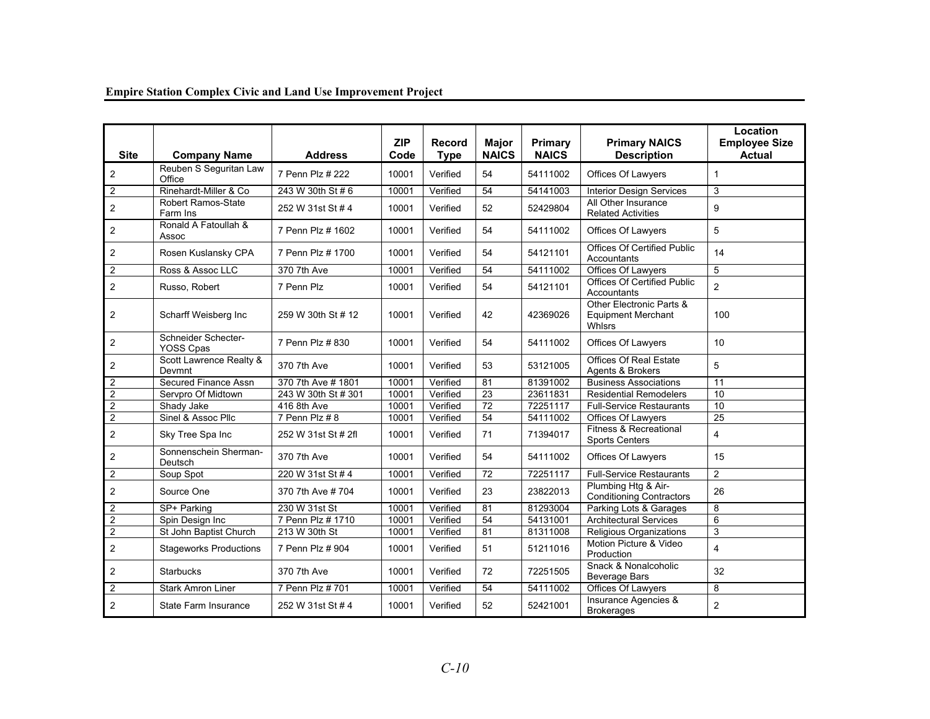| <b>Site</b>             | <b>Company Name</b>                   | <b>Address</b>      | <b>ZIP</b><br>Code | <b>Record</b><br><b>Type</b> | <b>Major</b><br><b>NAICS</b> | <b>Primary</b><br><b>NAICS</b> | <b>Primary NAICS</b><br><b>Description</b>                             | Location<br><b>Employee Size</b><br><b>Actual</b> |
|-------------------------|---------------------------------------|---------------------|--------------------|------------------------------|------------------------------|--------------------------------|------------------------------------------------------------------------|---------------------------------------------------|
| $\overline{\mathbf{c}}$ | Reuben S Seguritan Law<br>Office      | 7 Penn Plz # 222    | 10001              | Verified                     | 54                           | 54111002                       | Offices Of Lawyers                                                     | $\mathbf{1}$                                      |
| 2                       | Rinehardt-Miller & Co                 | 243 W 30th St #6    | 10001              | Verified                     | 54                           | 54141003                       | <b>Interior Design Services</b>                                        | 3                                                 |
| $\overline{2}$          | <b>Robert Ramos-State</b><br>Farm Ins | 252 W 31st St # 4   | 10001              | Verified                     | 52                           | 52429804                       | All Other Insurance<br><b>Related Activities</b>                       | 9                                                 |
| $\overline{\mathbf{c}}$ | Ronald A Fatoullah &<br>Assoc         | 7 Penn Plz # 1602   | 10001              | Verified                     | 54                           | 54111002                       | <b>Offices Of Lawyers</b>                                              | 5                                                 |
| $\overline{2}$          | Rosen Kuslansky CPA                   | 7 Penn Plz # 1700   | 10001              | Verified                     | 54                           | 54121101                       | Offices Of Certified Public<br>Accountants                             | 14                                                |
| $\overline{2}$          | Ross & Assoc LLC                      | 370 7th Ave         | 10001              | Verified                     | 54                           | 54111002                       | Offices Of Lawyers                                                     | 5                                                 |
| $\overline{2}$          | Russo, Robert                         | 7 Penn Plz          | 10001              | Verified                     | 54                           | 54121101                       | <b>Offices Of Certified Public</b><br>Accountants                      | $\overline{2}$                                    |
| 2                       | Scharff Weisberg Inc                  | 259 W 30th St # 12  | 10001              | Verified                     | 42                           | 42369026                       | Other Electronic Parts &<br><b>Equipment Merchant</b><br><b>Whlsrs</b> | 100                                               |
| $\overline{2}$          | Schneider Schecter-<br>YOSS Cpas      | 7 Penn Plz # 830    | 10001              | Verified                     | 54                           | 54111002                       | Offices Of Lawyers                                                     | 10                                                |
| $\overline{2}$          | Scott Lawrence Realty &<br>Devmnt     | 370 7th Ave         | 10001              | Verified                     | 53                           | 53121005                       | <b>Offices Of Real Estate</b><br>Agents & Brokers                      | 5                                                 |
| $\overline{\mathbf{c}}$ | Secured Finance Assn                  | 370 7th Ave # 1801  | 10001              | Verified                     | 81                           | 81391002                       | <b>Business Associations</b>                                           | 11                                                |
| $\overline{2}$          | Servpro Of Midtown                    | 243 W 30th St # 301 | 10001              | Verified                     | 23                           | 23611831                       | <b>Residential Remodelers</b>                                          | 10                                                |
| $\overline{2}$          | Shady Jake                            | 416 8th Ave         | 10001              | Verified                     | 72                           | 72251117                       | <b>Full-Service Restaurants</b>                                        | 10                                                |
| $\overline{\mathbf{c}}$ | Sinel & Assoc Pllc                    | 7 Penn Plz #8       | 10001              | Verified                     | 54                           | 54111002                       | Offices Of Lawyers                                                     | 25                                                |
| $\overline{2}$          | Sky Tree Spa Inc                      | 252 W 31st St # 2fl | 10001              | Verified                     | 71                           | 71394017                       | Fitness & Recreational<br><b>Sports Centers</b>                        | $\overline{\mathbf{4}}$                           |
| 2                       | Sonnenschein Sherman-<br>Deutsch      | 370 7th Ave         | 10001              | Verified                     | 54                           | 54111002                       | Offices Of Lawyers                                                     | 15                                                |
| $\sqrt{2}$              | Soup Spot                             | 220 W 31st St #4    | 10001              | Verified                     | 72                           | 72251117                       | <b>Full-Service Restaurants</b>                                        | $\overline{2}$                                    |
| $\overline{2}$          | Source One                            | 370 7th Ave # 704   | 10001              | Verified                     | 23                           | 23822013                       | Plumbing Htg & Air-<br><b>Conditioning Contractors</b>                 | 26                                                |
| $\overline{2}$          | SP+ Parking                           | 230 W 31st St       | 10001              | Verified                     | 81                           | 81293004                       | Parking Lots & Garages                                                 | 8                                                 |
| $\overline{\mathbf{c}}$ | Spin Design Inc                       | 7 Penn Plz # 1710   | 10001              | Verified                     | 54                           | 54131001                       | <b>Architectural Services</b>                                          | 6                                                 |
| $\overline{c}$          | St John Baptist Church                | 213 W 30th St       | 10001              | Verified                     | 81                           | 81311008                       | Religious Organizations                                                | 3                                                 |
| $\overline{c}$          | <b>Stageworks Productions</b>         | 7 Penn Plz # 904    | 10001              | Verified                     | 51                           | 51211016                       | Motion Picture & Video<br>Production                                   | 4                                                 |
| 2                       | <b>Starbucks</b>                      | 370 7th Ave         | 10001              | Verified                     | 72                           | 72251505                       | Snack & Nonalcoholic<br>Beverage Bars                                  | 32                                                |
| $\overline{2}$          | <b>Stark Amron Liner</b>              | 7 Penn Plz # 701    | 10001              | Verified                     | $\overline{54}$              | 54111002                       | Offices Of Lawyers                                                     | 8                                                 |
| $\overline{2}$          | State Farm Insurance                  | 252 W 31st St # 4   | 10001              | Verified                     | 52                           | 52421001                       | Insurance Agencies &<br><b>Brokerages</b>                              | $\overline{2}$                                    |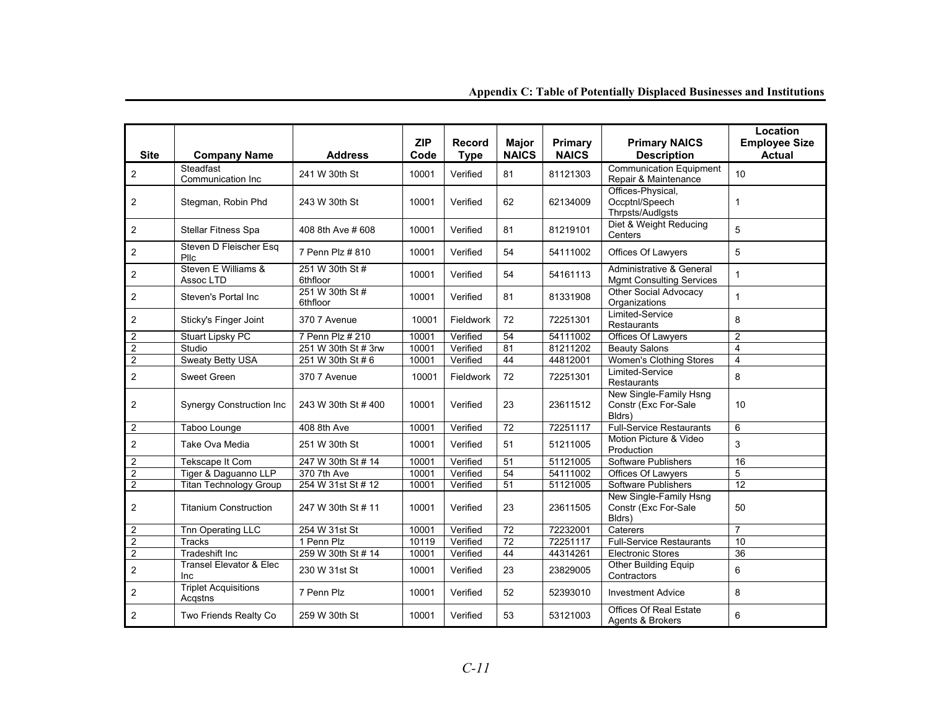| <b>Site</b>      | <b>Company Name</b>                    | <b>Address</b>              | <b>ZIP</b><br>Code | <b>Record</b><br><b>Type</b> | <b>Major</b><br><b>NAICS</b> | Primary<br><b>NAICS</b> | <b>Primary NAICS</b><br><b>Description</b>                  | Location<br><b>Employee Size</b><br><b>Actual</b> |
|------------------|----------------------------------------|-----------------------------|--------------------|------------------------------|------------------------------|-------------------------|-------------------------------------------------------------|---------------------------------------------------|
| $\sqrt{2}$       | Steadfast<br>Communication Inc         | 241 W 30th St               | 10001              | Verified                     | 81                           | 81121303                | <b>Communication Equipment</b><br>Repair & Maintenance      | 10                                                |
| $\overline{2}$   | Stegman, Robin Phd                     | 243 W 30th St               | 10001              | Verified                     | 62                           | 62134009                | Offices-Physical,<br>Occptnl/Speech<br>Thrpsts/Audlgsts     | $\mathbf{1}$                                      |
| 2                | Stellar Fitness Spa                    | 408 8th Ave # 608           | 10001              | Verified                     | 81                           | 81219101                | Diet & Weight Reducing<br>Centers                           | 5                                                 |
| $\overline{2}$   | Steven D Fleischer Esa<br>Pllc         | 7 Penn Plz # 810            | 10001              | Verified                     | 54                           | 54111002                | Offices Of Lawyers                                          | 5                                                 |
| $\overline{2}$   | Steven E Williams &<br>Assoc LTD       | 251 W 30th St #<br>6thfloor | 10001              | Verified                     | 54                           | 54161113                | Administrative & General<br><b>Mgmt Consulting Services</b> | $\mathbf{1}$                                      |
| $\overline{2}$   | Steven's Portal Inc                    | 251 W 30th St #<br>6thfloor | 10001              | Verified                     | 81                           | 81331908                | Other Social Advocacy<br>Organizations                      | $\mathbf{1}$                                      |
| 2                | Sticky's Finger Joint                  | 370 7 Avenue                | 10001              | Fieldwork                    | 72                           | 72251301                | Limited-Service<br><b>Restaurants</b>                       | 8                                                 |
| 2                | <b>Stuart Lipsky PC</b>                | 7 Penn Plz # 210            | 10001              | Verified                     | 54                           | 54111002                | Offices Of Lawyers                                          | $\overline{2}$                                    |
| $\overline{2}$   | Studio                                 | 251 W 30th St # 3rw         | 10001              | Verified                     | 81                           | 81211202                | <b>Beauty Salons</b>                                        | $\overline{4}$                                    |
| $\overline{c}$   | <b>Sweaty Betty USA</b>                | 251 W 30th St # 6           | 10001              | Verified                     | 44                           | 44812001                | <b>Women's Clothing Stores</b>                              | $\overline{\mathbf{4}}$                           |
| $\overline{2}$   | <b>Sweet Green</b>                     | 370 7 Avenue                | 10001              | Fieldwork                    | 72                           | 72251301                | Limited-Service<br><b>Restaurants</b>                       | 8                                                 |
| 2                | <b>Synergy Construction Inc</b>        | 243 W 30th St #400          | 10001              | Verified                     | 23                           | 23611512                | New Single-Family Hsng<br>Constr (Exc For-Sale<br>Bldrs)    | 10                                                |
| $\overline{2}$   | Taboo Lounge                           | 408 8th Ave                 | 10001              | Verified                     | 72                           | 72251117                | <b>Full-Service Restaurants</b>                             | 6                                                 |
| $\overline{2}$   | Take Ova Media                         | 251 W 30th St               | 10001              | Verified                     | 51                           | 51211005                | Motion Picture & Video<br>Production                        | 3                                                 |
| 2                | Tekscape It Com                        | 247 W 30th St # 14          | 10001              | Verified                     | $\overline{51}$              | 51121005                | Software Publishers                                         | 16                                                |
| $\overline{2}$   | Tiger & Daguanno LLP                   | 370 7th Ave                 | 10001              | Verified                     | 54                           | 54111002                | Offices Of Lawyers                                          | 5                                                 |
| $\overline{c}$   | <b>Titan Technology Group</b>          | 254 W 31st St # 12          | 10001              | Verified                     | 51                           | 51121005                | Software Publishers                                         | 12                                                |
| 2                | <b>Titanium Construction</b>           | 247 W 30th St # 11          | 10001              | Verified                     | 23                           | 23611505                | New Single-Family Hsng<br>Constr (Exc For-Sale<br>Bldrs)    | 50                                                |
| $\overline{2}$   | Tnn Operating LLC                      | 254 W 31st St               | 10001              | Verified                     | 72                           | 72232001                | Caterers                                                    | $\overline{7}$                                    |
| $\overline{2}$   | Tracks                                 | 1 Penn Plz                  | 10119              | Verified                     | $\overline{72}$              | 72251117                | <b>Full-Service Restaurants</b>                             | 10                                                |
| $\sqrt{2}$       | <b>Tradeshift Inc</b>                  | 259 W 30th St # 14          | 10001              | Verified                     | 44                           | 44314261                | <b>Electronic Stores</b>                                    | 36                                                |
| $\overline{c}$   | Transel Elevator & Elec<br>Inc         | 230 W 31st St               | 10001              | Verified                     | 23                           | 23829005                | Other Building Equip<br>Contractors                         | 6                                                 |
| 2                | <b>Triplet Acquisitions</b><br>Acgstns | 7 Penn Plz                  | 10001              | Verified                     | 52                           | 52393010                | <b>Investment Advice</b>                                    | 8                                                 |
| $\boldsymbol{2}$ | Two Friends Realty Co                  | 259 W 30th St               | 10001              | Verified                     | 53                           | 53121003                | Offices Of Real Estate<br>Agents & Brokers                  | 6                                                 |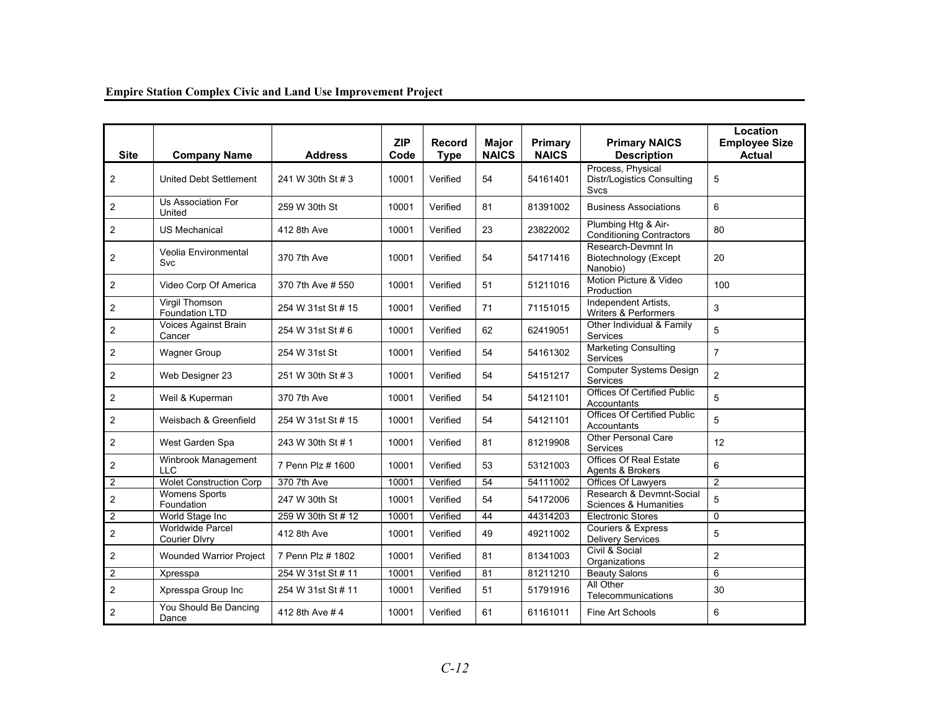| <b>Site</b>    | <b>Company Name</b>                      | <b>Address</b>     | <b>ZIP</b><br>Code | <b>Record</b><br><b>Type</b> | <b>Major</b><br><b>NAICS</b> | Primary<br><b>NAICS</b> | <b>Primary NAICS</b><br><b>Description</b>                            | Location<br><b>Employee Size</b><br><b>Actual</b> |
|----------------|------------------------------------------|--------------------|--------------------|------------------------------|------------------------------|-------------------------|-----------------------------------------------------------------------|---------------------------------------------------|
| 2              | <b>United Debt Settlement</b>            | 241 W 30th St # 3  | 10001              | Verified                     | 54                           | 54161401                | Process, Physical<br><b>Distr/Logistics Consulting</b><br><b>Svcs</b> | 5                                                 |
| $\overline{2}$ | Us Association For<br>United             | 259 W 30th St      | 10001              | Verified                     | 81                           | 81391002                | <b>Business Associations</b>                                          | 6                                                 |
| $\overline{2}$ | <b>US Mechanical</b>                     | 412 8th Ave        | 10001              | Verified                     | 23                           | 23822002                | Plumbing Htg & Air-<br><b>Conditioning Contractors</b>                | 80                                                |
| 2              | Veolia Environmental<br>Svc              | 370 7th Ave        | 10001              | Verified                     | 54                           | 54171416                | Research-Devmnt In<br><b>Biotechnology</b> (Except<br>Nanobio)        | 20                                                |
| 2              | Video Corp Of America                    | 370 7th Ave # 550  | 10001              | Verified                     | 51                           | 51211016                | Motion Picture & Video<br>Production                                  | 100                                               |
| $\overline{2}$ | Virgil Thomson<br>Foundation LTD         | 254 W 31st St # 15 | 10001              | Verified                     | 71                           | 71151015                | Independent Artists,<br>Writers & Performers                          | 3                                                 |
| 2              | Voices Against Brain<br>Cancer           | 254 W 31st St # 6  | 10001              | Verified                     | 62                           | 62419051                | Other Individual & Family<br><b>Services</b>                          | 5                                                 |
| $\overline{2}$ | <b>Wagner Group</b>                      | 254 W 31st St      | 10001              | Verified                     | 54                           | 54161302                | <b>Marketing Consulting</b><br>Services                               | $\overline{7}$                                    |
| $\overline{2}$ | Web Designer 23                          | 251 W 30th St # 3  | 10001              | Verified                     | 54                           | 54151217                | <b>Computer Systems Design</b><br><b>Services</b>                     | $\overline{2}$                                    |
| $\overline{2}$ | Weil & Kuperman                          | 370 7th Ave        | 10001              | Verified                     | 54                           | 54121101                | <b>Offices Of Certified Public</b><br>Accountants                     | 5                                                 |
| $\overline{2}$ | Weisbach & Greenfield                    | 254 W 31st St # 15 | 10001              | Verified                     | 54                           | 54121101                | <b>Offices Of Certified Public</b><br>Accountants                     | 5                                                 |
| $\overline{2}$ | West Garden Spa                          | 243 W 30th St # 1  | 10001              | Verified                     | 81                           | 81219908                | <b>Other Personal Care</b><br>Services                                | 12                                                |
| $\overline{2}$ | Winbrook Management<br><b>LLC</b>        | 7 Penn Plz # 1600  | 10001              | Verified                     | 53                           | 53121003                | <b>Offices Of Real Estate</b><br>Agents & Brokers                     | 6                                                 |
| $\overline{2}$ | <b>Wolet Construction Corp</b>           | 370 7th Ave        | 10001              | Verified                     | 54                           | 54111002                | Offices Of Lawyers                                                    | $\overline{2}$                                    |
| $\overline{2}$ | <b>Womens Sports</b><br>Foundation       | 247 W 30th St      | 10001              | Verified                     | 54                           | 54172006                | Research & Devmnt-Social<br>Sciences & Humanities                     | 5                                                 |
| $\overline{2}$ | World Stage Inc                          | 259 W 30th St # 12 | 10001              | Verified                     | 44                           | 44314203                | <b>Electronic Stores</b>                                              | $\mathbf 0$                                       |
| $\overline{2}$ | Worldwide Parcel<br><b>Courier Divry</b> | 412 8th Ave        | 10001              | Verified                     | 49                           | 49211002                | Couriers & Express<br><b>Delivery Services</b>                        | 5                                                 |
| $\overline{2}$ | <b>Wounded Warrior Project</b>           | 7 Penn Plz # 1802  | 10001              | Verified                     | 81                           | 81341003                | Civil & Social<br>Organizations                                       | $\overline{2}$                                    |
| $\overline{2}$ | Xpresspa                                 | 254 W 31st St # 11 | 10001              | Verified                     | 81                           | 81211210                | <b>Beauty Salons</b>                                                  | 6                                                 |
| $\overline{2}$ | Xpresspa Group Inc                       | 254 W 31st St # 11 | 10001              | Verified                     | 51                           | 51791916                | All Other<br>Telecommunications                                       | 30                                                |
| $\overline{2}$ | You Should Be Dancing<br>Dance           | 412 8th Ave #4     | 10001              | Verified                     | 61                           | 61161011                | Fine Art Schools                                                      | 6                                                 |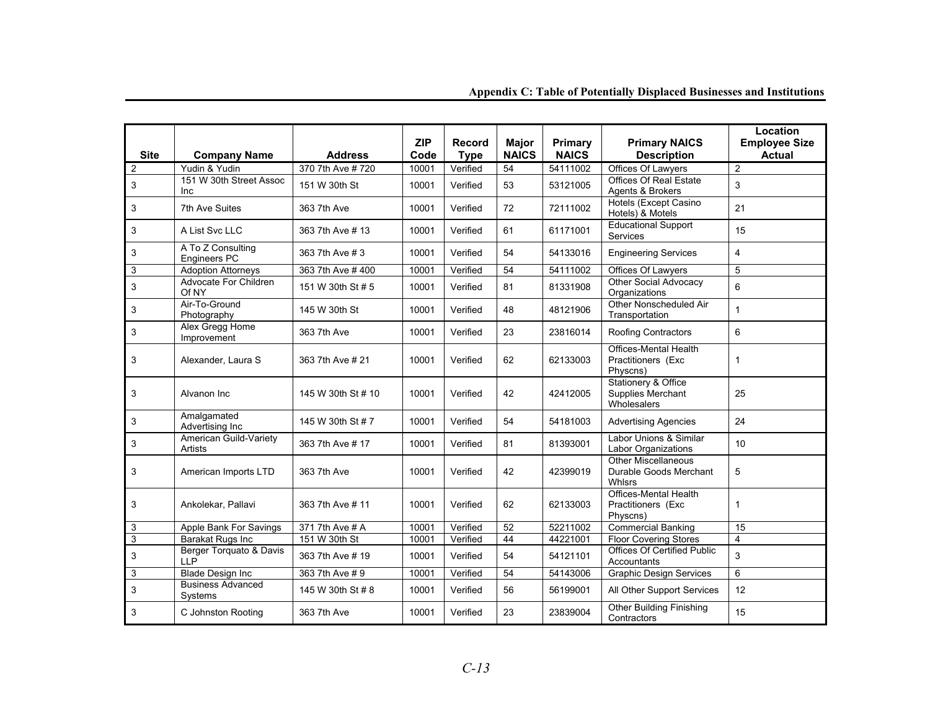| <b>Site</b>               | <b>Company Name</b>                   | <b>Address</b>     | <b>ZIP</b><br>Code | Record<br><b>Type</b> | <b>Major</b><br><b>NAICS</b> | Primary<br><b>NAICS</b> | <b>Primary NAICS</b><br><b>Description</b>                         | Location<br><b>Employee Size</b><br><b>Actual</b> |
|---------------------------|---------------------------------------|--------------------|--------------------|-----------------------|------------------------------|-------------------------|--------------------------------------------------------------------|---------------------------------------------------|
| $\overline{2}$            | Yudin & Yudin                         | 370 7th Ave #720   | 10001              | Verified              | $\overline{54}$              | 54111002                | Offices Of Lawyers                                                 | $\overline{2}$                                    |
| 3                         | 151 W 30th Street Assoc<br>Inc        | 151 W 30th St      | 10001              | Verified              | 53                           | 53121005                | <b>Offices Of Real Estate</b><br>Agents & Brokers                  | $\mathbf{3}$                                      |
| 3                         | 7th Ave Suites                        | 363 7th Ave        | 10001              | Verified              | 72                           | 72111002                | Hotels (Except Casino<br>Hotels) & Motels                          | 21                                                |
| 3                         | A List Svc LLC                        | 363 7th Ave # 13   | 10001              | Verified              | 61                           | 61171001                | <b>Educational Support</b><br>Services                             | 15                                                |
| 3                         | A To Z Consulting<br>Engineers PC     | 363 7th Ave # 3    | 10001              | Verified              | 54                           | 54133016                | <b>Engineering Services</b>                                        | $\overline{4}$                                    |
| 3                         | <b>Adoption Attorneys</b>             | 363 7th Ave #400   | 10001              | Verified              | 54                           | 54111002                | Offices Of Lawyers                                                 | 5                                                 |
| 3                         | Advocate For Children<br>Of NY        | 151 W 30th St # 5  | 10001              | Verified              | 81                           | 81331908                | Other Social Advocacy<br>Organizations                             | $6\phantom{a}$                                    |
| $\ensuremath{\mathsf{3}}$ | Air-To-Ground<br>Photography          | 145 W 30th St      | 10001              | Verified              | 48                           | 48121906                | Other Nonscheduled Air<br>Transportation                           | $\mathbf{1}$                                      |
| 3                         | Alex Gregg Home<br>Improvement        | 363 7th Ave        | 10001              | Verified              | 23                           | 23816014                | Roofing Contractors                                                | 6                                                 |
| 3                         | Alexander, Laura S                    | 363 7th Ave # 21   | 10001              | Verified              | 62                           | 62133003                | Offices-Mental Health<br>Practitioners (Exc<br>Physcns)            | $\mathbf{1}$                                      |
| 3                         | Alvanon Inc                           | 145 W 30th St # 10 | 10001              | Verified              | 42                           | 42412005                | <b>Stationery &amp; Office</b><br>Supplies Merchant<br>Wholesalers | 25                                                |
| 3                         | Amalgamated<br>Advertising Inc        | 145 W 30th St # 7  | 10001              | Verified              | 54                           | 54181003                | <b>Advertising Agencies</b>                                        | 24                                                |
| 3                         | American Guild-Variety<br>Artists     | 363 7th Ave # 17   | 10001              | Verified              | 81                           | 81393001                | Labor Unions & Similar<br><b>Labor Organizations</b>               | 10                                                |
| 3                         | American Imports LTD                  | 363 7th Ave        | 10001              | Verified              | 42                           | 42399019                | Other Miscellaneous<br>Durable Goods Merchant<br>Whlsrs            | 5                                                 |
| 3                         | Ankolekar, Pallavi                    | 363 7th Ave # 11   | 10001              | Verified              | 62                           | 62133003                | Offices-Mental Health<br>Practitioners (Exc<br>Physcns)            | 1                                                 |
| 3                         | Apple Bank For Savings                | 371 7th Ave # A    | 10001              | Verified              | 52                           | 52211002                | <b>Commercial Banking</b>                                          | 15                                                |
| $\overline{3}$            | Barakat Rugs Inc                      | 151 W 30th St      | 10001              | Verified              | 44                           | 44221001                | <b>Floor Covering Stores</b>                                       | $\overline{4}$                                    |
| 3                         | Berger Torquato & Davis<br><b>LLP</b> | 363 7th Ave # 19   | 10001              | Verified              | 54                           | 54121101                | <b>Offices Of Certified Public</b><br>Accountants                  | 3                                                 |
| 3                         | <b>Blade Design Inc</b>               | 363 7th Ave # 9    | 10001              | Verified              | 54                           | 54143006                | <b>Graphic Design Services</b>                                     | 6                                                 |
| 3                         | <b>Business Advanced</b><br>Systems   | 145 W 30th St # 8  | 10001              | Verified              | 56                           | 56199001                | All Other Support Services                                         | 12                                                |
| 3                         | C Johnston Rooting                    | 363 7th Ave        | 10001              | Verified              | 23                           | 23839004                | Other Building Finishing<br>Contractors                            | 15                                                |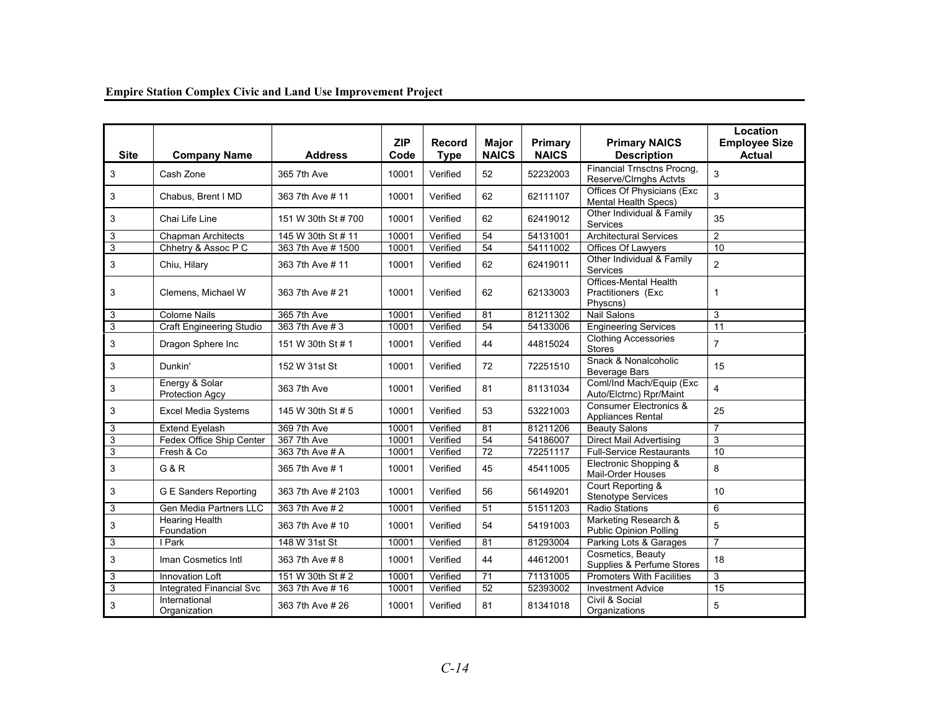| <b>Site</b>    | <b>Company Name</b>                      | <b>Address</b>      | <b>ZIP</b><br>Code | <b>Record</b><br><b>Type</b> | <b>Major</b><br><b>NAICS</b> | Primary<br><b>NAICS</b> | <b>Primary NAICS</b><br><b>Description</b>                  | Location<br><b>Employee Size</b><br><b>Actual</b> |
|----------------|------------------------------------------|---------------------|--------------------|------------------------------|------------------------------|-------------------------|-------------------------------------------------------------|---------------------------------------------------|
| 3              | Cash Zone                                | 365 7th Ave         | 10001              | Verified                     | 52                           | 52232003                | <b>Financial Trnsctns Procng,</b><br>Reserve/Clrnghs Actvts | 3                                                 |
| 3              | Chabus, Brent I MD                       | 363 7th Ave # 11    | 10001              | Verified                     | 62                           | 62111107                | Offices Of Physicians (Exc<br><b>Mental Health Specs)</b>   | 3                                                 |
| 3              | Chai Life Line                           | 151 W 30th St # 700 | 10001              | Verified                     | 62                           | 62419012                | Other Individual & Family<br><b>Services</b>                | 35                                                |
| 3              | <b>Chapman Architects</b>                | 145 W 30th St # 11  | 10001              | Verified                     | 54                           | 54131001                | Architectural Services                                      | $\overline{2}$                                    |
| 3              | Chhetry & Assoc P C                      | 363 7th Ave # 1500  | 10001              | Verified                     | $\overline{54}$              | 54111002                | Offices Of Lawyers                                          | $\overline{10}$                                   |
| 3              | Chiu, Hilary                             | 363 7th Ave # 11    | 10001              | Verified                     | 62                           | 62419011                | Other Individual & Family<br><b>Services</b>                | $\overline{2}$                                    |
| 3              | Clemens. Michael W                       | 363 7th Ave # 21    | 10001              | Verified                     | 62                           | 62133003                | Offices-Mental Health<br>Practitioners (Exc<br>Physcns)     | $\mathbf{1}$                                      |
| 3              | <b>Colome Nails</b>                      | 365 7th Ave         | 10001              | Verified                     | 81                           | 81211302                | <b>Nail Salons</b>                                          | 3                                                 |
| $\overline{3}$ | <b>Craft Engineering Studio</b>          | 363 7th Ave # 3     | 10001              | Verified                     | $\overline{54}$              | 54133006                | <b>Engineering Services</b>                                 | 11                                                |
| 3              | Dragon Sphere Inc                        | 151 W 30th St # 1   | 10001              | Verified                     | 44                           | 44815024                | <b>Clothing Accessories</b><br><b>Stores</b>                | $\overline{7}$                                    |
| 3              | Dunkin'                                  | 152 W 31st St       | 10001              | Verified                     | 72                           | 72251510                | Snack & Nonalcoholic<br><b>Beverage Bars</b>                | 15                                                |
| 3              | Energy & Solar<br><b>Protection Agcy</b> | 363 7th Ave         | 10001              | Verified                     | 81                           | 81131034                | Coml/Ind Mach/Equip (Exc<br>Auto/Elctrnc) Rpr/Maint         | $\overline{4}$                                    |
| 3              | <b>Excel Media Systems</b>               | 145 W 30th St # 5   | 10001              | Verified                     | 53                           | 53221003                | <b>Consumer Electronics &amp;</b><br>Appliances Rental      | 25                                                |
| 3              | <b>Extend Eyelash</b>                    | 369 7th Ave         | 10001              | Verified                     | 81                           | 81211206                | <b>Beauty Salons</b>                                        | $\overline{7}$                                    |
| 3              | Fedex Office Ship Center                 | 367 7th Ave         | 10001              | Verified                     | 54                           | 54186007                | <b>Direct Mail Advertising</b>                              | 3                                                 |
| 3              | Fresh & Co                               | 363 7th Ave # A     | 10001              | Verified                     | 72                           | 72251117                | <b>Full-Service Restaurants</b>                             | 10                                                |
| 3              | <b>G&amp;R</b>                           | 365 7th Ave # 1     | 10001              | Verified                     | 45                           | 45411005                | Electronic Shopping &<br><b>Mail-Order Houses</b>           | 8                                                 |
| 3              | <b>G E Sanders Reporting</b>             | 363 7th Ave # 2103  | 10001              | Verified                     | 56                           | 56149201                | Court Reporting &<br><b>Stenotype Services</b>              | 10                                                |
| 3              | <b>Gen Media Partners LLC</b>            | 363 7th Ave # 2     | 10001              | Verified                     | 51                           | 51511203                | <b>Radio Stations</b>                                       | 6                                                 |
| 3              | <b>Hearing Health</b><br>Foundation      | 363 7th Ave # 10    | 10001              | Verified                     | 54                           | 54191003                | Marketing Research &<br><b>Public Opinion Polling</b>       | 5                                                 |
| 3              | I Park                                   | 148 W 31st St       | 10001              | Verified                     | 81                           | 81293004                | Parking Lots & Garages                                      | $\overline{7}$                                    |
| 3              | Iman Cosmetics Intl                      | 363 7th Ave #8      | 10001              | Verified                     | 44                           | 44612001                | Cosmetics, Beauty<br>Supplies & Perfume Stores              | 18                                                |
| 3              | Innovation Loft                          | 151 W 30th St # 2   | 10001              | Verified                     | 71                           | 71131005                | Promoters With Facilities                                   | 3                                                 |
| $\overline{3}$ | <b>Integrated Financial Svc</b>          | 363 7th Ave # 16    | 10001              | Verified                     | $\overline{52}$              | 52393002                | <b>Investment Advice</b>                                    | 15                                                |
| 3              | International<br>Organization            | 363 7th Ave # 26    | 10001              | Verified                     | 81                           | 81341018                | Civil & Social<br>Organizations                             | 5                                                 |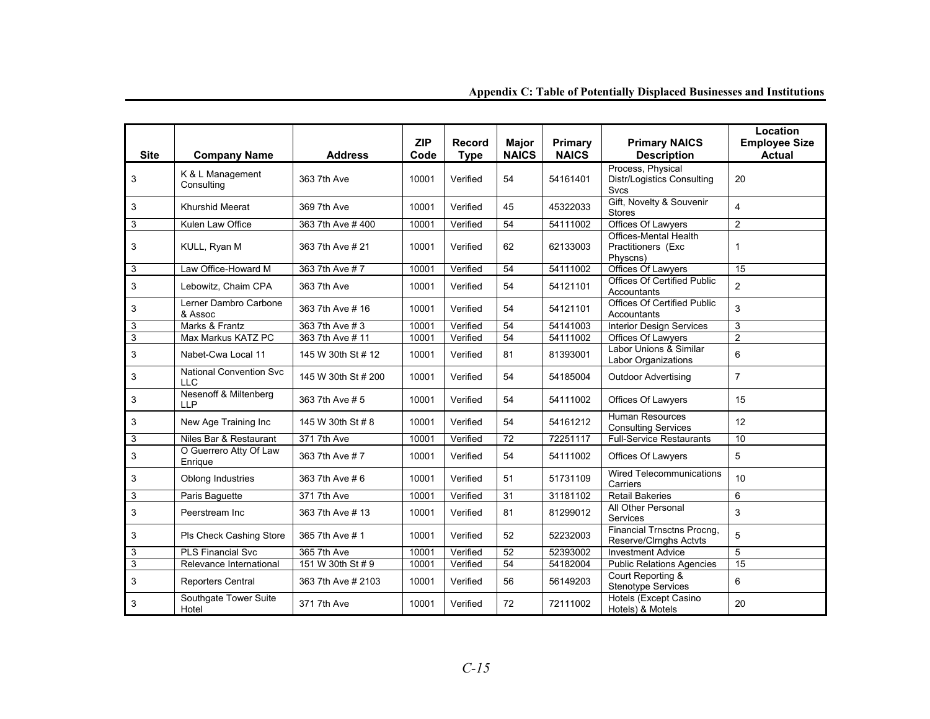| <b>Site</b> | <b>Company Name</b>                          | <b>Address</b>      | <b>ZIP</b><br>Code | <b>Record</b><br><b>Type</b> | <b>Major</b><br><b>NAICS</b> | Primary<br><b>NAICS</b> | <b>Primary NAICS</b><br><b>Description</b>                            | Location<br><b>Employee Size</b><br><b>Actual</b> |
|-------------|----------------------------------------------|---------------------|--------------------|------------------------------|------------------------------|-------------------------|-----------------------------------------------------------------------|---------------------------------------------------|
| 3           | K & L Management<br>Consulting               | 363 7th Ave         | 10001              | Verified                     | 54                           | 54161401                | Process, Physical<br><b>Distr/Logistics Consulting</b><br><b>Svcs</b> | 20                                                |
| 3           | Khurshid Meerat                              | 369 7th Ave         | 10001              | Verified                     | 45                           | 45322033                | Gift, Novelty & Souvenir<br><b>Stores</b>                             | $\overline{\mathbf{4}}$                           |
| 3           | Kulen Law Office                             | 363 7th Ave # 400   | 10001              | Verified                     | 54                           | 54111002                | Offices Of Lawyers                                                    | 2                                                 |
| 3           | KULL, Ryan M                                 | 363 7th Ave # 21    | 10001              | Verified                     | 62                           | 62133003                | Offices-Mental Health<br>Practitioners (Exc<br>Physcns)               | $\mathbf 1$                                       |
| 3           | Law Office-Howard M                          | 363 7th Ave # 7     | 10001              | Verified                     | 54                           | 54111002                | Offices Of Lawyers                                                    | 15                                                |
| 3           | Lebowitz, Chaim CPA                          | 363 7th Ave         | 10001              | Verified                     | 54                           | 54121101                | Offices Of Certified Public<br>Accountants                            | $\overline{2}$                                    |
| 3           | Lerner Dambro Carbone<br>& Assoc             | 363 7th Ave # 16    | 10001              | Verified                     | 54                           | 54121101                | <b>Offices Of Certified Public</b><br>Accountants                     | 3                                                 |
| 3           | Marks & Frantz                               | 363 7th Ave # 3     | 10001              | Verified                     | 54                           | 54141003                | <b>Interior Design Services</b>                                       | 3                                                 |
| 3           | Max Markus KATZ PC                           | 363 7th Ave # 11    | 10001              | Verified                     | 54                           | 54111002                | Offices Of Lawyers                                                    | $\overline{2}$                                    |
| 3           | Nabet-Cwa Local 11                           | 145 W 30th St # 12  | 10001              | Verified                     | 81                           | 81393001                | Labor Unions & Similar<br>Labor Organizations                         | 6                                                 |
| 3           | <b>National Convention Svc</b><br><b>LLC</b> | 145 W 30th St # 200 | 10001              | Verified                     | 54                           | 54185004                | <b>Outdoor Advertising</b>                                            | $\overline{7}$                                    |
| 3           | Nesenoff & Miltenberg<br><b>LLP</b>          | 363 7th Ave # 5     | 10001              | Verified                     | 54                           | 54111002                | Offices Of Lawyers                                                    | 15                                                |
| 3           | New Age Training Inc                         | 145 W 30th St # 8   | 10001              | Verified                     | 54                           | 54161212                | <b>Human Resources</b><br><b>Consulting Services</b>                  | 12                                                |
| 3           | Niles Bar & Restaurant                       | 371 7th Ave         | 10001              | Verified                     | 72                           | 72251117                | <b>Full-Service Restaurants</b>                                       | 10                                                |
| 3           | O Guerrero Atty Of Law<br>Enrique            | 363 7th Ave #7      | 10001              | Verified                     | 54                           | 54111002                | Offices Of Lawyers                                                    | 5                                                 |
| 3           | Oblong Industries                            | 363 7th Ave # 6     | 10001              | Verified                     | 51                           | 51731109                | <b>Wired Telecommunications</b><br>Carriers                           | 10                                                |
| 3           | Paris Baguette                               | 371 7th Ave         | 10001              | Verified                     | 31                           | 31181102                | <b>Retail Bakeries</b>                                                | 6                                                 |
| 3           | Peerstream Inc                               | 363 7th Ave # 13    | 10001              | Verified                     | 81                           | 81299012                | All Other Personal<br>Services                                        | $\sqrt{3}$                                        |
| 3           | Pls Check Cashing Store                      | 365 7th Ave # 1     | 10001              | Verified                     | 52                           | 52232003                | Financial Trnsctns Procng,<br>Reserve/Clrnghs Actvts                  | 5                                                 |
| 3           | <b>PLS Financial Svc</b>                     | 365 7th Ave         | 10001              | Verified                     | 52                           | 52393002                | <b>Investment Advice</b>                                              | 5                                                 |
| 3           | Relevance International                      | 151 W 30th St # 9   | 10001              | Verified                     | 54                           | 54182004                | <b>Public Relations Agencies</b>                                      | 15                                                |
| 3           | <b>Reporters Central</b>                     | 363 7th Ave # 2103  | 10001              | Verified                     | 56                           | 56149203                | Court Reporting &<br><b>Stenotype Services</b>                        | 6                                                 |
| 3           | Southgate Tower Suite<br>Hotel               | 371 7th Ave         | 10001              | Verified                     | 72                           | 72111002                | Hotels (Except Casino<br>Hotels) & Motels                             | 20                                                |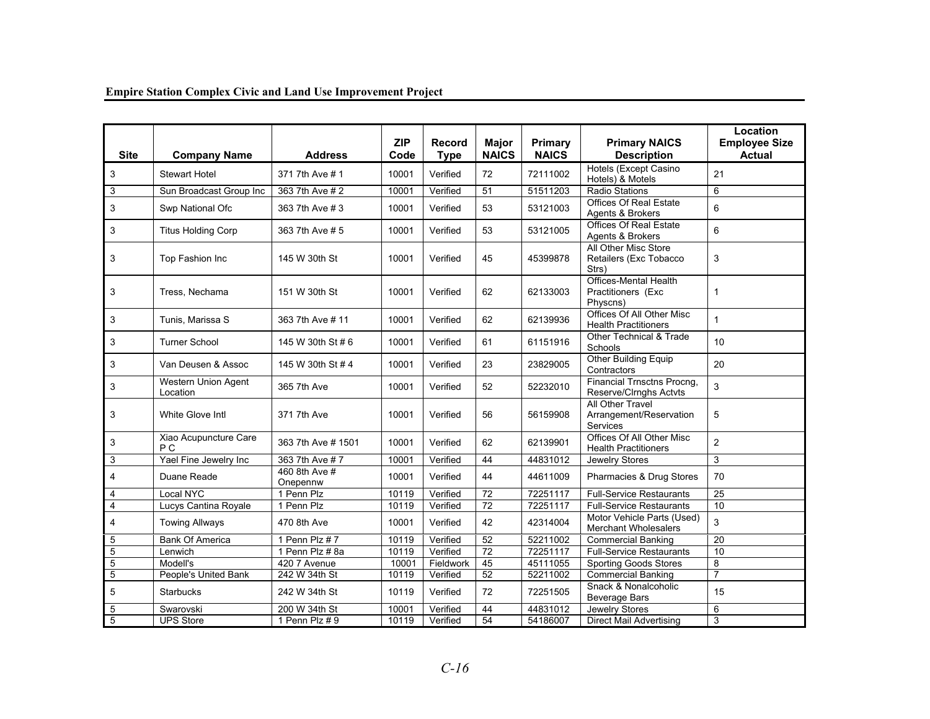| <b>Site</b>    | <b>Company Name</b>                    | <b>Address</b>            | <b>ZIP</b><br>Code | <b>Record</b><br><b>Type</b> | Major<br><b>NAICS</b> | Primary<br><b>NAICS</b> | <b>Primary NAICS</b><br><b>Description</b>                     | Location<br><b>Employee Size</b><br>Actual |
|----------------|----------------------------------------|---------------------------|--------------------|------------------------------|-----------------------|-------------------------|----------------------------------------------------------------|--------------------------------------------|
| 3              | <b>Stewart Hotel</b>                   | 371 7th Ave # 1           | 10001              | Verified                     | 72                    | 72111002                | Hotels (Except Casino<br>Hotels) & Motels                      | 21                                         |
| 3              | Sun Broadcast Group Inc                | 363 7th Ave # 2           | 10001              | Verified                     | 51                    | 51511203                | <b>Radio Stations</b>                                          | 6                                          |
| 3              | Swp National Ofc                       | 363 7th Ave # 3           | 10001              | Verified                     | 53                    | 53121003                | <b>Offices Of Real Estate</b><br>Agents & Brokers              | 6                                          |
| 3              | <b>Titus Holding Corp</b>              | 363 7th Ave # 5           | 10001              | Verified                     | 53                    | 53121005                | <b>Offices Of Real Estate</b><br>Agents & Brokers              | 6                                          |
| 3              | Top Fashion Inc                        | 145 W 30th St             | 10001              | Verified                     | 45                    | 45399878                | All Other Misc Store<br>Retailers (Exc Tobacco<br>Strs)        | 3                                          |
| 3              | Tress, Nechama                         | 151 W 30th St             | 10001              | Verified                     | 62                    | 62133003                | Offices-Mental Health<br>Practitioners (Exc<br>Physcns)        | $\mathbf{1}$                               |
| 3              | Tunis, Marissa S                       | 363 7th Ave # 11          | 10001              | Verified                     | 62                    | 62139936                | Offices Of All Other Misc<br><b>Health Practitioners</b>       | 1                                          |
| 3              | <b>Turner School</b>                   | 145 W 30th St # 6         | 10001              | Verified                     | 61                    | 61151916                | <b>Other Technical &amp; Trade</b><br><b>Schools</b>           | 10                                         |
| 3              | Van Deusen & Assoc                     | 145 W 30th St # 4         | 10001              | Verified                     | 23                    | 23829005                | Other Building Equip<br>Contractors                            | 20                                         |
| 3              | <b>Western Union Agent</b><br>Location | 365 7th Ave               | 10001              | Verified                     | 52                    | 52232010                | Financial Trnsctns Procng.<br>Reserve/Clrnghs Actvts           | 3                                          |
| 3              | White Glove Intl                       | 371 7th Ave               | 10001              | Verified                     | 56                    | 56159908                | All Other Travel<br>Arrangement/Reservation<br><b>Services</b> | 5                                          |
| 3              | Xiao Acupuncture Care<br>P C           | 363 7th Ave # 1501        | 10001              | Verified                     | 62                    | 62139901                | Offices Of All Other Misc<br><b>Health Practitioners</b>       | $\overline{2}$                             |
| 3              | Yael Fine Jewelry Inc                  | 363 7th Ave #7            | 10001              | Verified                     | 44                    | 44831012                | Jewelry Stores                                                 | 3                                          |
| $\overline{4}$ | Duane Reade                            | 460 8th Ave #<br>Onepennw | 10001              | Verified                     | 44                    | 44611009                | Pharmacies & Drug Stores                                       | 70                                         |
| $\overline{4}$ | Local NYC                              | 1 Penn Plz                | 10119              | Verified                     | 72                    | 72251117                | <b>Full-Service Restaurants</b>                                | 25                                         |
| $\overline{4}$ | Lucys Cantina Royale                   | 1 Penn Plz                | 10119              | Verified                     | $\overline{72}$       | 72251117                | <b>Full-Service Restaurants</b>                                | 10                                         |
| $\overline{4}$ | <b>Towing Allways</b>                  | 470 8th Ave               | 10001              | Verified                     | 42                    | 42314004                | Motor Vehicle Parts (Used)<br><b>Merchant Wholesalers</b>      | 3                                          |
| 5              | <b>Bank Of America</b>                 | 1 Penn Plz #7             | 10119              | Verified                     | 52                    | 52211002                | <b>Commercial Banking</b>                                      | 20                                         |
| 5              | Lenwich                                | 1 Penn Plz # 8a           | 10119              | Verified                     | 72                    | 72251117                | <b>Full-Service Restaurants</b>                                | 10                                         |
| $\overline{5}$ | Modell's                               | 420 7 Avenue              | 10001              | Fieldwork                    | 45                    | 45111055                | <b>Sporting Goods Stores</b>                                   | $\bf 8$                                    |
| 5              | People's United Bank                   | 242 W 34th St             | 10119              | Verified                     | 52                    | 52211002                | Commercial Banking                                             | $\overline{7}$                             |
| 5              | <b>Starbucks</b>                       | 242 W 34th St             | 10119              | Verified                     | 72                    | 72251505                | Snack & Nonalcoholic<br><b>Beverage Bars</b>                   | 15                                         |
| 5              | Swarovski                              | 200 W 34th St             | 10001              | Verified                     | 44                    | 44831012                | Jewelry Stores                                                 | 6                                          |
| $\overline{5}$ | <b>UPS Store</b>                       | 1 Penn Plz # 9            | 10119              | Verified                     | 54                    | 54186007                | <b>Direct Mail Advertising</b>                                 | 3                                          |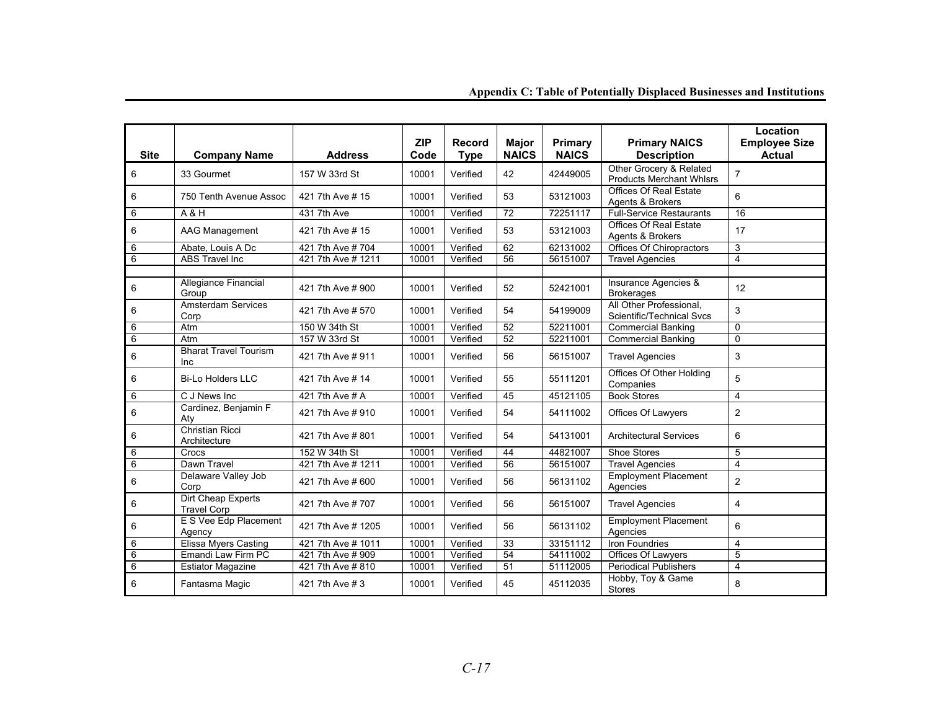| <b>Site</b>    | <b>Company Name</b>                      | <b>Address</b>     | <b>ZIP</b><br>Code | <b>Record</b><br><b>Type</b> | <b>Major</b><br><b>NAICS</b> | Primary<br><b>NAICS</b> | <b>Primary NAICS</b><br><b>Description</b>                 | Location<br><b>Employee Size</b><br><b>Actual</b> |
|----------------|------------------------------------------|--------------------|--------------------|------------------------------|------------------------------|-------------------------|------------------------------------------------------------|---------------------------------------------------|
| 6              | 33 Gourmet                               | 157 W 33rd St      | 10001              | Verified                     | 42                           | 42449005                | Other Grocery & Related<br><b>Products Merchant Whlsrs</b> | $\overline{7}$                                    |
| 6              | 750 Tenth Avenue Assoc                   | 421 7th Ave # 15   | 10001              | Verified                     | 53                           | 53121003                | Offices Of Real Estate<br>Agents & Brokers                 | 6                                                 |
| 6              | A & H                                    | 431 7th Ave        | 10001              | Verified                     | 72                           | 72251117                | <b>Full-Service Restaurants</b>                            | 16                                                |
| 6              | <b>AAG Management</b>                    | 421 7th Ave # 15   | 10001              | Verified                     | 53                           | 53121003                | <b>Offices Of Real Estate</b><br>Agents & Brokers          | 17                                                |
| 6              | Abate. Louis A Dc                        | 421 7th Ave # 704  | 10001              | Verified                     | 62                           | 62131002                | Offices Of Chiropractors                                   | 3                                                 |
| 6              | <b>ABS Travel Inc</b>                    | 421 7th Ave # 1211 | 10001              | Verified                     | 56                           | 56151007                | <b>Travel Agencies</b>                                     | 4                                                 |
| 6              | Allegiance Financial<br>Group            | 421 7th Ave # 900  | 10001              | Verified                     | 52                           | 52421001                | Insurance Agencies &<br><b>Brokerages</b>                  | 12                                                |
| $\,6\,$        | <b>Amsterdam Services</b><br>Corp        | 421 7th Ave # 570  | 10001              | Verified                     | 54                           | 54199009                | All Other Professional,<br>Scientific/Technical Svcs       | 3                                                 |
| 6              | Atm                                      | 150 W 34th St      | 10001              | Verified                     | 52                           | 52211001                | <b>Commercial Banking</b>                                  | $\mathbf 0$                                       |
| 6              | Atm                                      | 157 W 33rd St      | 10001              | Verified                     | $\overline{52}$              | 52211001                | <b>Commercial Banking</b>                                  | $\Omega$                                          |
| 6              | <b>Bharat Travel Tourism</b><br>Inc      | 421 7th Ave # 911  | 10001              | Verified                     | 56                           | 56151007                | <b>Travel Agencies</b>                                     | 3                                                 |
| 6              | <b>Bi-Lo Holders LLC</b>                 | 421 7th Ave # 14   | 10001              | Verified                     | 55                           | 55111201                | Offices Of Other Holding<br>Companies                      | 5                                                 |
| 6              | C J News Inc                             | 421 7th Ave # A    | 10001              | Verified                     | 45                           | 45121105                | <b>Book Stores</b>                                         | $\overline{4}$                                    |
| $\,6\,$        | Cardinez, Benjamin F<br>Aty              | 421 7th Ave # 910  | 10001              | Verified                     | 54                           | 54111002                | <b>Offices Of Lawyers</b>                                  | $\overline{2}$                                    |
| 6              | Christian Ricci<br>Architecture          | 421 7th Ave #801   | 10001              | Verified                     | 54                           | 54131001                | <b>Architectural Services</b>                              | 6                                                 |
| 6              | Crocs                                    | 152 W 34th St      | 10001              | Verified                     | 44                           | 44821007                | <b>Shoe Stores</b>                                         | 5                                                 |
| 6              | Dawn Travel                              | 421 7th Ave # 1211 | 10001              | Verified                     | 56                           | 56151007                | <b>Travel Agencies</b>                                     | $\overline{\mathbf{4}}$                           |
| 6              | Delaware Valley Job<br>Corp              | 421 7th Ave # 600  | 10001              | Verified                     | 56                           | 56131102                | <b>Employment Placement</b><br>Agencies                    | $\overline{2}$                                    |
| $\,6\,$        | Dirt Cheap Experts<br><b>Travel Corp</b> | 421 7th Ave # 707  | 10001              | Verified                     | 56                           | 56151007                | <b>Travel Agencies</b>                                     | 4                                                 |
| 6              | E S Vee Edp Placement<br>Agency          | 421 7th Ave # 1205 | 10001              | Verified                     | 56                           | 56131102                | <b>Employment Placement</b><br>Agencies                    | 6                                                 |
| 6              | <b>Elissa Myers Casting</b>              | 421 7th Ave # 1011 | 10001              | Verified                     | 33                           | 33151112                | <b>Iron Foundries</b>                                      | $\overline{4}$                                    |
| $\overline{6}$ | Emandi Law Firm PC                       | 421 7th Ave # 909  | 10001              | Verified                     | 54                           | 54111002                | <b>Offices Of Lawyers</b>                                  | 5                                                 |
| $6\phantom{1}$ | <b>Estiator Magazine</b>                 | 421 7th Ave # 810  | 10001              | Verified                     | 51                           | 51112005                | <b>Periodical Publishers</b>                               | $\overline{4}$                                    |
| 6              | Fantasma Magic                           | 421 7th Ave # 3    | 10001              | Verified                     | 45                           | 45112035                | Hobby, Toy & Game<br><b>Stores</b>                         | 8                                                 |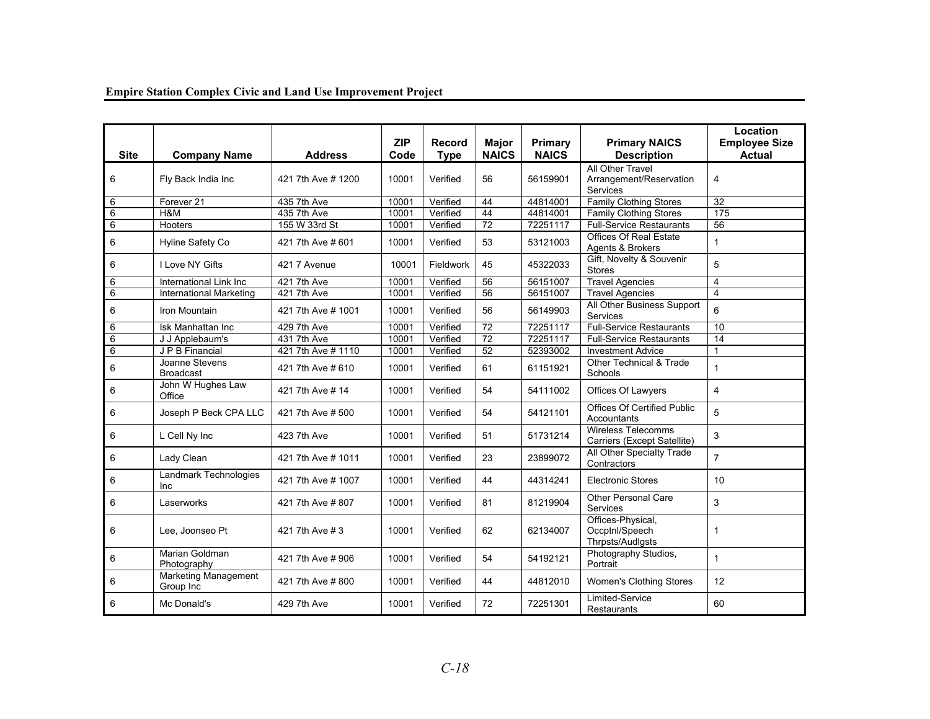#### Site | Company Name | Address **ZIP Code Record Type Major NAICS Primary NAICS Primary NAICS Description Location Employee Size Actual** 6 Fly Back India Inc 421 7th Ave # 1200 10001 Verified 56 56159901 All Other Travel Arrangement/Reservation Services 4 6 Forever 21 435 7th Ave 10001 Verified 44 44814001 Family Clothing Stores 32<br>6 H&M 435 7th Ave 10001 Verified 44 44814001 Family Clothing Stores 175 6 H&M 435 7th Ave 10001 Verified 44 44814001 Family Clothing Stores 6 Hooters 155 W 33rd St 10001 Verified 72 72251117 Full-Service Restaurants  $56$ 6 Hyline Safety Co  $421$  7th Ave # 601  $\Big| 10001 \Big|$  Verified  $\Big| 53 \Big| 53121003 \Big|$  Agents & Brokers  $\Big| 1 \Big|$ 6  $\begin{array}{|c|c|c|c|c|}\hline \text{I} & \text{Love NY Gifts} \hline \end{array}$  421 7 Avenue  $\begin{array}{|c|c|c|c|c|}\hline \text{10001} & \text{Fieldwork} & \text{45} \hline \end{array}$  45322033  $\begin{array}{|c|c|c|c|}\hline \text{Gift, Novelty & Souvenir} & \text{5} \hline \end{array}$ 6 International Link Inc 421 7th Ave 10001 Verified 56 56151007 Travel Agencies 4<br>6 International Marketing 421 7th Ave 10001 Verified 56 56151007 Travel Agencies 4 6 International Marketing 421 7th Ave 10001 Verified 56 56151007 Travel Agencies 4<br>Comparison and the Municipal Contract and Municipal Contract 56 56151007 Travel Agencies 4 6  $\begin{array}{|c|c|c|c|c|}\hline \end{array}$  Iron Mountain  $\begin{array}{|c|c|c|c|c|}\hline \end{array}$  421 7th Ave # 1001  $\begin{array}{|c|c|c|c|}\hline \end{array}$  Verified  $\begin{array}{|c|c|c|c|}\hline \end{array}$  56149903  $\begin{array}{|c|c|c|}\hline \end{array}$  All Other Business Support  $\begin{array}{|c|c|c|}\$ 6 Isk Manhattan Inc 1 429 7th Ave 10001 Verified 72 72251117 Full-Service Restaurants 10 6 J J Applebaum's 431 7th Ave 10001 Verified 72 72251117 Full-Service Restaurants 14 6 J P B Financial 421 7th Ave # 1110 10001 Verified 52 52393002 Investment Advice 1 6  $\begin{array}{|c|c|c|c|c|}\hline \end{array}$  Joanne Stevens  $\begin{array}{|c|c|c|c|c|}\hline \end{array}$  421 7th Ave # 610  $\begin{array}{|c|c|c|c|}\hline \end{array}$  10001  $\begin{array}{|c|c|c|c|}\hline \end{array}$  61  $\begin{array}{|c|c|c|}\hline \end{array}$  61151921  $\begin{array}{|c|c|c|}\hline \end{array}$  Schools  $\begin{array}{|c|c$ 6  $\bigcup_{\text{Office}}$  John W Hughes Law  $\bigcup_{\text{421}}$  7th Ave # 14  $\bigcup_{\text{40001}}$  Verified  $\bigcup_{\text{54}}$  54111002  $\bigcap_{\text{6002}}$  Offices Of Lawyers  $\bigcup_{\text{41}}$ 6 Joseph P Beck CPA LLC  $\begin{array}{|c|c|c|c|c|}\n421\,7\text{th}$  Ave # 500  $\end{array}$  10001  $\begin{array}{|c|c|c|c|}\n\end{array}$  54  $\begin{array}{|c|c|c|}\n\end{array}$  54121101  $\begin{array}{|c|c|c|}\n\end{array}$  Accountants 6 L Cell Ny Inc 423 7th Ave 10001 Verified 51 51731214 Wireless Telecomms 3 6  $\begin{array}{|c|c|c|c|c|}\hline \text{Lady Clean} & 421\,\text{7th} \text{Ave \# 1011} & 10001 & Verified & 23 & 23899072 & Contractors \hline \end{array}$ 6 | Landmark Technologies | 421 7th Ave # 1007 | 10001 | Verified | 44 | 44314241 | Electronic Stores | 10 6  $\begin{array}{|c|c|c|c|c|}\n6 & \text{Laserworks} & \text{421 7th Ave # 807} & \text{10001} & \text{Verified} & \text{81} & \text{81219904} & \text{Services} & \text{5001} & \text{511} & \text{51219904} & \text{51219904} & \text{521219904} & \text{531219904} & \text{561219904} & \text{571219904} & \text{581219904} & \text{561219904} & \$ 6 Lee, Joonseo Pt 421 7th Ave # 3 10001 Verified 62 62134007 Offices-Physical, Occptnl/Speech **Thrpsts/Audigsts**<br>Photography Studios, 1 <sup>6</sup>Marian Goldman Photography 421 7th Ave # 906 10001 Verified 54 54192121 Photography Studios, Portrait 1 6 Marketing Management 421 7th Ave # 800 10001 Verified 44 44812010 Women's Clothing Stores 12 6 Mc Donald's | 429 7th Ave | 10001 | Verified | 72 | 72251301 | Limited-Service | 60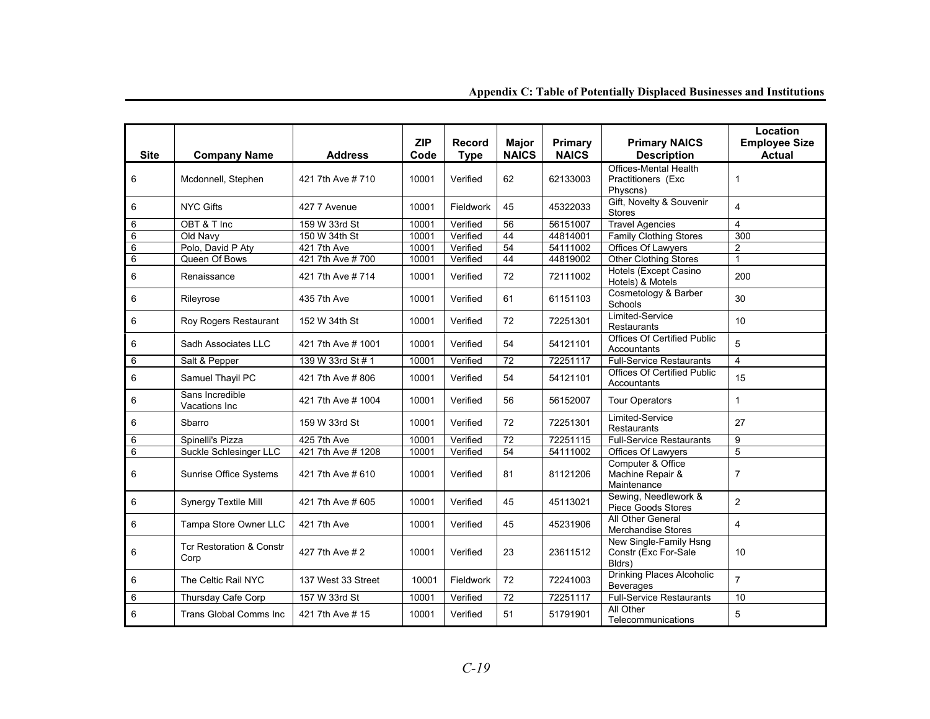| <b>Site</b> | <b>Company Name</b>                         | <b>Address</b>     | <b>ZIP</b><br>Code | Record<br><b>Type</b> | <b>Maior</b><br><b>NAICS</b> | Primary<br><b>NAICS</b> | <b>Primary NAICS</b><br><b>Description</b>                     | Location<br><b>Employee Size</b><br><b>Actual</b> |
|-------------|---------------------------------------------|--------------------|--------------------|-----------------------|------------------------------|-------------------------|----------------------------------------------------------------|---------------------------------------------------|
| 6           | Mcdonnell, Stephen                          | 421 7th Ave # 710  | 10001              | Verified              | 62                           | 62133003                | <b>Offices-Mental Health</b><br>Practitioners (Exc<br>Physcns) | $\mathbf{1}$                                      |
| 6           | <b>NYC Gifts</b>                            | 427 7 Avenue       | 10001              | Fieldwork             | 45                           | 45322033                | Gift, Novelty & Souvenir<br><b>Stores</b>                      | $\overline{\mathbf{4}}$                           |
| 6           | OBT & T Inc                                 | 159 W 33rd St      | 10001              | Verified              | 56                           | 56151007                | <b>Travel Agencies</b>                                         | $\overline{4}$                                    |
| 6           | Old Navy                                    | 150 W 34th St      | 10001              | Verified              | 44                           | 44814001                | <b>Family Clothing Stores</b>                                  | 300                                               |
| 6           | Polo, David P Aty                           | 421 7th Ave        | 10001              | Verified              | 54                           | 54111002                | Offices Of Lawyers                                             | 2                                                 |
| 6           | Queen Of Bows                               | 421 7th Ave # 700  | 10001              | Verified              | 44                           | 44819002                | <b>Other Clothing Stores</b>                                   | $\mathbf{1}$                                      |
| 6           | Renaissance                                 | 421 7th Ave # 714  | 10001              | Verified              | 72                           | 72111002                | Hotels (Except Casino<br>Hotels) & Motels                      | 200                                               |
| $\,6\,$     | Rileyrose                                   | 435 7th Ave        | 10001              | Verified              | 61                           | 61151103                | Cosmetology & Barber<br>Schools                                | 30                                                |
| $\,6\,$     | Roy Rogers Restaurant                       | 152 W 34th St      | 10001              | Verified              | 72                           | 72251301                | Limited-Service<br><b>Restaurants</b>                          | 10                                                |
| 6           | Sadh Associates LLC                         | 421 7th Ave # 1001 | 10001              | Verified              | 54                           | 54121101                | <b>Offices Of Certified Public</b><br>Accountants              | 5                                                 |
| 6           | Salt & Pepper                               | 139 W 33rd St # 1  | 10001              | Verified              | 72                           | 72251117                | <b>Full-Service Restaurants</b>                                | $\overline{4}$                                    |
| $\,6\,$     | Samuel Thayil PC                            | 421 7th Ave #806   | 10001              | Verified              | 54                           | 54121101                | <b>Offices Of Certified Public</b><br>Accountants              | 15                                                |
| $\,6\,$     | Sans Incredible<br>Vacations Inc            | 421 7th Ave # 1004 | 10001              | Verified              | 56                           | 56152007                | <b>Tour Operators</b>                                          | $\mathbf{1}$                                      |
| 6           | Sbarro                                      | 159 W 33rd St      | 10001              | Verified              | 72                           | 72251301                | Limited-Service<br><b>Restaurants</b>                          | 27                                                |
| 6           | Spinelli's Pizza                            | 425 7th Ave        | 10001              | Verified              | 72                           | 72251115                | <b>Full-Service Restaurants</b>                                | 9                                                 |
| 6           | Suckle Schlesinger LLC                      | 421 7th Ave # 1208 | 10001              | Verified              | 54                           | 54111002                | Offices Of Lawyers                                             | 5                                                 |
| 6           | Sunrise Office Systems                      | 421 7th Ave # 610  | 10001              | Verified              | 81                           | 81121206                | Computer & Office<br>Machine Repair &<br>Maintenance           | $\overline{7}$                                    |
| 6           | Synergy Textile Mill                        | 421 7th Ave # 605  | 10001              | Verified              | 45                           | 45113021                | Sewing, Needlework &<br><b>Piece Goods Stores</b>              | $\overline{2}$                                    |
| $\,6\,$     | Tampa Store Owner LLC                       | 421 7th Ave        | 10001              | Verified              | 45                           | 45231906                | All Other General<br><b>Merchandise Stores</b>                 | $\overline{4}$                                    |
| 6           | <b>Tcr Restoration &amp; Constr</b><br>Corp | 427 7th Ave # 2    | 10001              | Verified              | 23                           | 23611512                | New Single-Family Hsng<br>Constr (Exc For-Sale<br>Bldrs)       | 10                                                |
| 6           | The Celtic Rail NYC                         | 137 West 33 Street | 10001              | Fieldwork             | 72                           | 72241003                | Drinking Places Alcoholic<br>Beverages                         | $\overline{7}$                                    |
| 6           | <b>Thursday Cafe Corp</b>                   | 157 W 33rd St      | 10001              | Verified              | 72                           | 72251117                | <b>Full-Service Restaurants</b>                                | 10                                                |
| 6           | <b>Trans Global Comms Inc</b>               | 421 7th Ave # 15   | 10001              | Verified              | 51                           | 51791901                | All Other<br>Telecommunications                                | 5                                                 |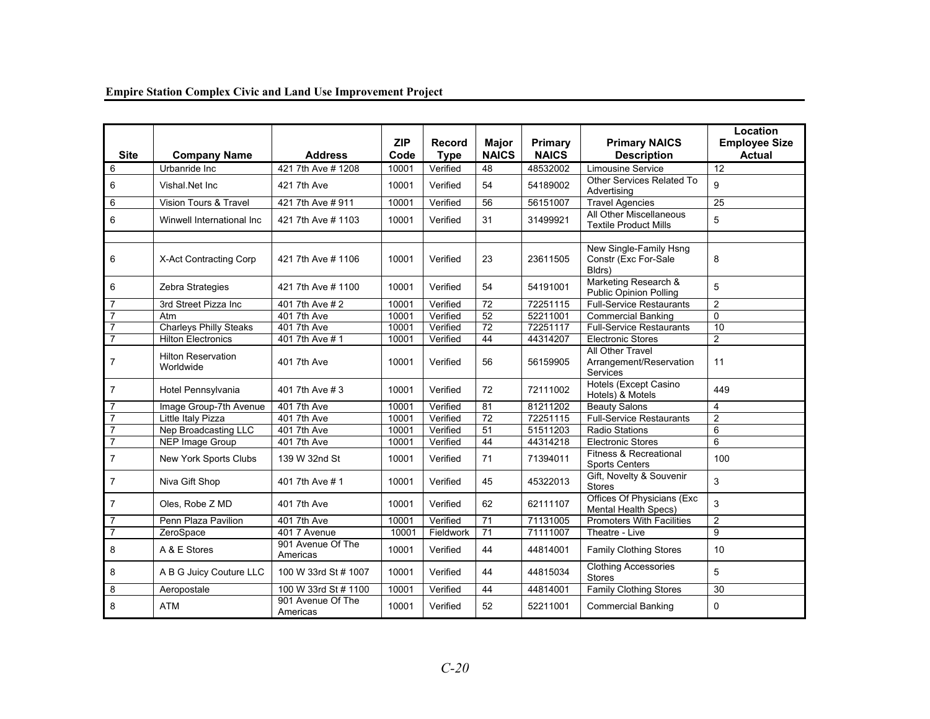| <b>Site</b>    | <b>Company Name</b>                    | <b>Address</b>                | <b>ZIP</b><br>Code | Record<br><b>Type</b> | <b>Major</b><br><b>NAICS</b> | Primary<br><b>NAICS</b> | <b>Primary NAICS</b><br><b>Description</b>                 | Location<br><b>Employee Size</b><br><b>Actual</b> |
|----------------|----------------------------------------|-------------------------------|--------------------|-----------------------|------------------------------|-------------------------|------------------------------------------------------------|---------------------------------------------------|
| 6              | Urbanride Inc.                         | 421 7th Ave # 1208            | 10001              | Verified              | 48                           | 48532002                | <b>Limousine Service</b>                                   | $\overline{12}$                                   |
| 6              | Vishal.Net Inc                         | 421 7th Ave                   | 10001              | Verified              | 54                           | 54189002                | Other Services Related To<br>Advertising                   | 9                                                 |
| 6              | <b>Vision Tours &amp; Travel</b>       | 421 7th Ave # 911             | 10001              | Verified              | 56                           | 56151007                | <b>Travel Agencies</b>                                     | $\overline{25}$                                   |
| 6              | Winwell International Inc              | 421 7th Ave # 1103            | 10001              | Verified              | 31                           | 31499921                | All Other Miscellaneous<br><b>Textile Product Mills</b>    | 5                                                 |
| 6              | X-Act Contracting Corp                 | 421 7th Ave # 1106            | 10001              | Verified              | 23                           | 23611505                | New Single-Family Hsng<br>Constr (Exc For-Sale<br>Bldrs)   | 8                                                 |
| 6              | Zebra Strategies                       | 421 7th Ave # 1100            | 10001              | Verified              | 54                           | 54191001                | Marketing Research &<br><b>Public Opinion Polling</b>      | 5                                                 |
| $\overline{7}$ | 3rd Street Pizza Inc                   | 401 7th Ave # 2               | 10001              | Verified              | 72                           | 72251115                | <b>Full-Service Restaurants</b>                            | $\overline{2}$                                    |
| $\overline{7}$ | Atm                                    | 401 7th Ave                   | 10001              | Verified              | 52                           | 52211001                | <b>Commercial Banking</b>                                  | $\mathbf 0$                                       |
| $\overline{7}$ | <b>Charleys Philly Steaks</b>          | 401 7th Ave                   | 10001              | Verified              | $\overline{72}$              | 72251117                | <b>Full-Service Restaurants</b>                            | 10                                                |
| $\overline{7}$ | <b>Hilton Electronics</b>              | 401 7th Ave # 1               | 10001              | Verified              | 44                           | 44314207                | <b>Electronic Stores</b>                                   | 2                                                 |
| $\overline{7}$ | <b>Hilton Reservation</b><br>Worldwide | 401 7th Ave                   | 10001              | Verified              | 56                           | 56159905                | All Other Travel<br>Arrangement/Reservation<br>Services    | 11                                                |
| $\overline{7}$ | Hotel Pennsylvania                     | 401 7th Ave # 3               | 10001              | Verified              | 72                           | 72111002                | Hotels (Except Casino<br>Hotels) & Motels                  | 449                                               |
| 7              | Image Group-7th Avenue                 | 401 7th Ave                   | 10001              | Verified              | 81                           | 81211202                | <b>Beauty Salons</b>                                       | 4                                                 |
| $\overline{7}$ | Little Italy Pizza                     | 401 7th Ave                   | 10001              | Verified              | 72                           | 72251115                | <b>Full-Service Restaurants</b>                            | $\overline{2}$                                    |
| $\overline{7}$ | Nep Broadcasting LLC                   | 401 7th Ave                   | 10001              | Verified              | $\overline{51}$              | 51511203                | <b>Radio Stations</b>                                      | 6                                                 |
| $\overline{7}$ | <b>NEP Image Group</b>                 | 401 7th Ave                   | 10001              | Verified              | 44                           | 44314218                | <b>Electronic Stores</b>                                   | 6                                                 |
| $\overline{7}$ | New York Sports Clubs                  | 139 W 32nd St                 | 10001              | Verified              | 71                           | 71394011                | <b>Fitness &amp; Recreational</b><br><b>Sports Centers</b> | 100                                               |
| $\overline{7}$ | Niva Gift Shop                         | 401 7th Ave # 1               | 10001              | Verified              | 45                           | 45322013                | Gift, Novelty & Souvenir<br><b>Stores</b>                  | 3                                                 |
| $\overline{7}$ | Oles, Robe Z MD                        | 401 7th Ave                   | 10001              | Verified              | 62                           | 62111107                | Offices Of Physicians (Exc<br><b>Mental Health Specs)</b>  | 3                                                 |
| 7              | Penn Plaza Pavilion                    | 401 7th Ave                   | 10001              | Verified              | 71                           | 71131005                | <b>Promoters With Facilities</b>                           | $\overline{2}$                                    |
| $\overline{7}$ | ZeroSpace                              | 401 7 Avenue                  | 10001              | Fieldwork             | 71                           | 71111007                | Theatre - Live                                             | 9                                                 |
| 8              | A & E Stores                           | 901 Avenue Of The<br>Americas | 10001              | Verified              | 44                           | 44814001                | <b>Family Clothing Stores</b>                              | 10                                                |
| 8              | A B G Juicy Couture LLC                | 100 W 33rd St # 1007          | 10001              | Verified              | 44                           | 44815034                | <b>Clothing Accessories</b><br><b>Stores</b>               | 5                                                 |
| 8              | Aeropostale                            | 100 W 33rd St # 1100          | 10001              | Verified              | 44                           | 44814001                | <b>Family Clothing Stores</b>                              | 30                                                |
| 8              | <b>ATM</b>                             | 901 Avenue Of The<br>Americas | 10001              | Verified              | 52                           | 52211001                | <b>Commercial Banking</b>                                  | 0                                                 |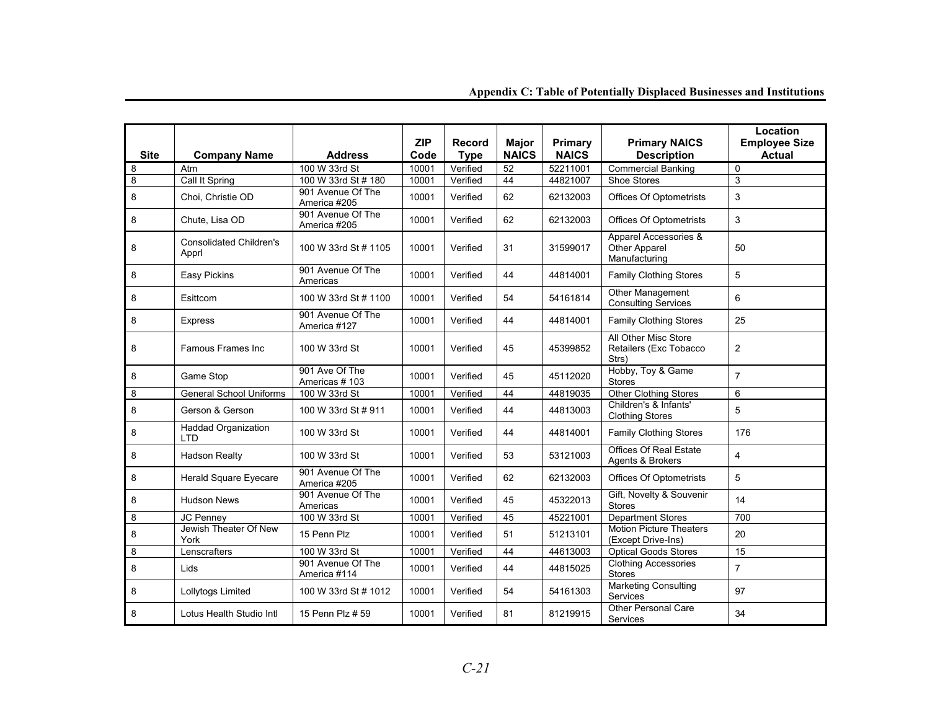| <b>Site</b> | <b>Company Name</b>                      | <b>Address</b>                    | <b>ZIP</b><br>Code | <b>Record</b><br><b>Type</b> | <b>Major</b><br><b>NAICS</b> | Primary<br><b>NAICS</b> | <b>Primary NAICS</b><br><b>Description</b>              | Location<br><b>Employee Size</b><br><b>Actual</b> |
|-------------|------------------------------------------|-----------------------------------|--------------------|------------------------------|------------------------------|-------------------------|---------------------------------------------------------|---------------------------------------------------|
| 8           | Atm                                      | 100 W 33rd St                     | 10001              | Verified                     | 52                           | 52211001                | <b>Commercial Banking</b>                               | $\mathbf 0$                                       |
| 8           | Call It Spring                           | 100 W 33rd St # 180               | 10001              | Verified                     | 44                           | 44821007                | <b>Shoe Stores</b>                                      | 3                                                 |
| 8           | Choi, Christie OD                        | 901 Avenue Of The<br>America #205 | 10001              | Verified                     | 62                           | 62132003                | <b>Offices Of Optometrists</b>                          | 3                                                 |
| 8           | Chute, Lisa OD                           | 901 Avenue Of The<br>America #205 | 10001              | Verified                     | 62                           | 62132003                | <b>Offices Of Optometrists</b>                          | 3                                                 |
| 8           | <b>Consolidated Children's</b><br>Apprl  | 100 W 33rd St # 1105              | 10001              | Verified                     | 31                           | 31599017                | Apparel Accessories &<br>Other Apparel<br>Manufacturing | 50                                                |
| 8           | Easy Pickins                             | 901 Avenue Of The<br>Americas     | 10001              | Verified                     | 44                           | 44814001                | <b>Family Clothing Stores</b>                           | 5                                                 |
| 8           | Esittcom                                 | 100 W 33rd St # 1100              | 10001              | Verified                     | 54                           | 54161814                | Other Management<br><b>Consulting Services</b>          | 6                                                 |
| 8           | <b>Express</b>                           | 901 Avenue Of The<br>America #127 | 10001              | Verified                     | 44                           | 44814001                | <b>Family Clothing Stores</b>                           | 25                                                |
| 8           | Famous Frames Inc                        | 100 W 33rd St                     | 10001              | Verified                     | 45                           | 45399852                | All Other Misc Store<br>Retailers (Exc Tobacco<br>Strs) | $\overline{2}$                                    |
| 8           | Game Stop                                | 901 Ave Of The<br>Americas #103   | 10001              | Verified                     | 45                           | 45112020                | Hobby, Toy & Game<br><b>Stores</b>                      | $\overline{7}$                                    |
| 8           | <b>General School Uniforms</b>           | 100 W 33rd St                     | 10001              | Verified                     | 44                           | 44819035                | <b>Other Clothing Stores</b>                            | 6                                                 |
| 8           | Gerson & Gerson                          | 100 W 33rd St # 911               | 10001              | Verified                     | 44                           | 44813003                | Children's & Infants'<br><b>Clothing Stores</b>         | 5                                                 |
| 8           | <b>Haddad Organization</b><br><b>LTD</b> | 100 W 33rd St                     | 10001              | Verified                     | 44                           | 44814001                | <b>Family Clothing Stores</b>                           | 176                                               |
| 8           | Hadson Realty                            | 100 W 33rd St                     | 10001              | Verified                     | 53                           | 53121003                | <b>Offices Of Real Estate</b><br>Agents & Brokers       | $\overline{4}$                                    |
| 8           | <b>Herald Square Eyecare</b>             | 901 Avenue Of The<br>America #205 | 10001              | Verified                     | 62                           | 62132003                | <b>Offices Of Optometrists</b>                          | 5                                                 |
| 8           | <b>Hudson News</b>                       | 901 Avenue Of The<br>Americas     | 10001              | Verified                     | 45                           | 45322013                | Gift, Novelty & Souvenir<br><b>Stores</b>               | 14                                                |
| 8           | <b>JC Penney</b>                         | 100 W 33rd St                     | 10001              | Verified                     | 45                           | 45221001                | <b>Department Stores</b>                                | 700                                               |
| 8           | Jewish Theater Of New<br>York            | 15 Penn Plz                       | 10001              | Verified                     | 51                           | 51213101                | <b>Motion Picture Theaters</b><br>(Except Drive-Ins)    | 20                                                |
| 8           | Lenscrafters                             | 100 W 33rd St                     | 10001              | Verified                     | 44                           | 44613003                | <b>Optical Goods Stores</b>                             | 15                                                |
| 8           | Lids                                     | 901 Avenue Of The<br>America #114 | 10001              | Verified                     | 44                           | 44815025                | <b>Clothing Accessories</b><br><b>Stores</b>            | $\overline{7}$                                    |
| 8           | Lollytogs Limited                        | 100 W 33rd St # 1012              | 10001              | Verified                     | 54                           | 54161303                | <b>Marketing Consulting</b><br><b>Services</b>          | 97                                                |
| 8           | Lotus Health Studio Intl                 | 15 Penn Plz # 59                  | 10001              | Verified                     | 81                           | 81219915                | Other Personal Care<br><b>Services</b>                  | 34                                                |